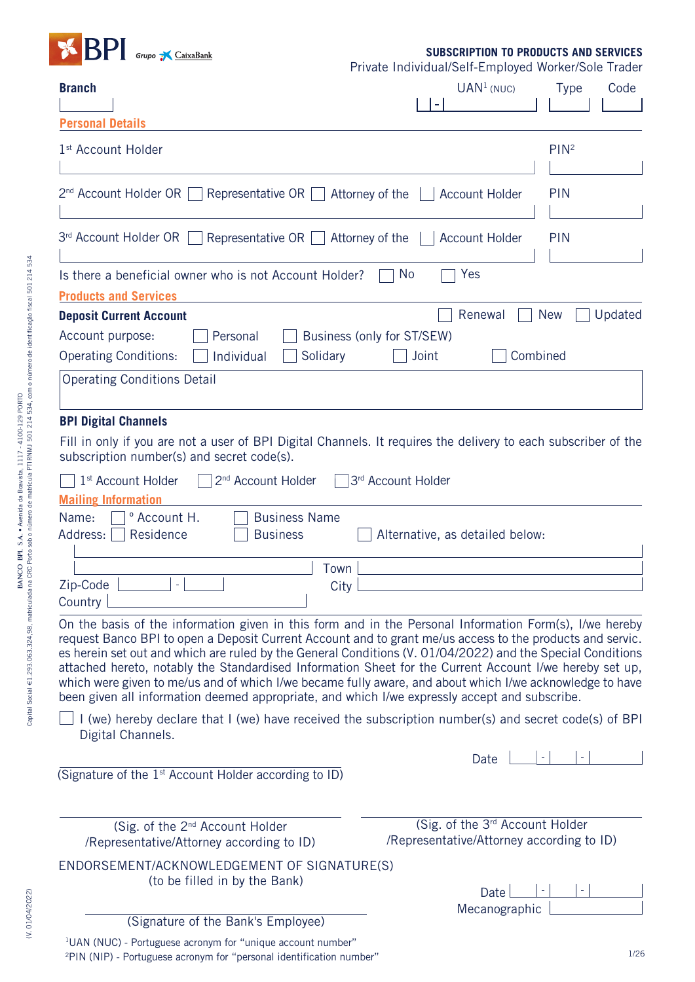

**SUBSCRIPTION TO PRODUCTS AND SERVICES**

Private Individual/Self-Employed Worker/Sole Trader

| <b>Branch</b>                                                                                                                                                                                                                                                                                                                                                                                                                                                                                                                                                                                                                                              | Tractor marviagallocii Employed Worker/Oole Hager<br>UAN <sup>1</sup> (NUC)<br>$\blacksquare$ | <b>Type</b><br>Code               |
|------------------------------------------------------------------------------------------------------------------------------------------------------------------------------------------------------------------------------------------------------------------------------------------------------------------------------------------------------------------------------------------------------------------------------------------------------------------------------------------------------------------------------------------------------------------------------------------------------------------------------------------------------------|-----------------------------------------------------------------------------------------------|-----------------------------------|
| <b>Personal Details</b>                                                                                                                                                                                                                                                                                                                                                                                                                                                                                                                                                                                                                                    |                                                                                               |                                   |
| 1 <sup>st</sup> Account Holder                                                                                                                                                                                                                                                                                                                                                                                                                                                                                                                                                                                                                             |                                                                                               | PIN <sup>2</sup>                  |
| 2 <sup>nd</sup> Account Holder OR<br>Representative OR $\vert$                                                                                                                                                                                                                                                                                                                                                                                                                                                                                                                                                                                             | Attorney of the<br><b>Account Holder</b>                                                      | <b>PIN</b>                        |
| 3rd Account Holder OR<br>Representative OR $\Box$                                                                                                                                                                                                                                                                                                                                                                                                                                                                                                                                                                                                          | Attorney of the<br><b>Account Holder</b>                                                      | <b>PIN</b>                        |
| Is there a beneficial owner who is not Account Holder?                                                                                                                                                                                                                                                                                                                                                                                                                                                                                                                                                                                                     | Yes<br><b>No</b>                                                                              |                                   |
| <b>Products and Services</b><br><b>Deposit Current Account</b><br>Account purpose:<br>Personal<br><b>Operating Conditions:</b><br>Solidary<br>Individual<br><b>Operating Conditions Detail</b>                                                                                                                                                                                                                                                                                                                                                                                                                                                             | Renewal<br>Business (only for ST/SEW)<br>Joint                                                | Updated<br><b>New</b><br>Combined |
| <b>BPI Digital Channels</b><br>Fill in only if you are not a user of BPI Digital Channels. It requires the delivery to each subscriber of the<br>subscription number(s) and secret code(s).<br>1 <sup>st</sup> Account Holder<br>2 <sup>nd</sup> Account Holder<br><b>Mailing Information</b>                                                                                                                                                                                                                                                                                                                                                              | 3rd Account Holder                                                                            |                                   |
| <b>Business Name</b><br><sup>o</sup> Account H.<br>Name:<br>Residence<br>Address:<br><b>Business</b><br>Town<br>Zip-Code<br>$\equiv$<br>City<br>Country                                                                                                                                                                                                                                                                                                                                                                                                                                                                                                    | Alternative, as detailed below:                                                               |                                   |
| On the basis of the information given in this form and in the Personal Information Form(s), I/we hereby<br>request Banco BPI to open a Deposit Current Account and to grant me/us access to the products and servic.<br>es herein set out and which are ruled by the General Conditions (V. 01/04/2022) and the Special Conditions<br>attached hereto, notably the Standardised Information Sheet for the Current Account I/we hereby set up,<br>which were given to me/us and of which I/we became fully aware, and about which I/we acknowledge to have<br>been given all information deemed appropriate, and which I/we expressly accept and subscribe. |                                                                                               |                                   |
| I (we) hereby declare that I (we) have received the subscription number(s) and secret code(s) of BPI<br>Digital Channels.                                                                                                                                                                                                                                                                                                                                                                                                                                                                                                                                  |                                                                                               |                                   |
| (Signature of the 1 <sup>st</sup> Account Holder according to ID)                                                                                                                                                                                                                                                                                                                                                                                                                                                                                                                                                                                          | Date $\lfloor$                                                                                |                                   |
| (Sig. of the 2 <sup>nd</sup> Account Holder<br>/Representative/Attorney according to ID)                                                                                                                                                                                                                                                                                                                                                                                                                                                                                                                                                                   | (Sig. of the 3rd Account Holder<br>/Representative/Attorney according to ID)                  |                                   |
| ENDORSEMENT/ACKNOWLEDGEMENT OF SIGNATURE(S)<br>(to be filled in by the Bank)<br>(Signature of the Bank's Employee)                                                                                                                                                                                                                                                                                                                                                                                                                                                                                                                                         | Date<br>Mecanographic                                                                         |                                   |
| <sup>1</sup> UAN (NUC) - Portuguese acronym for "unique account number"                                                                                                                                                                                                                                                                                                                                                                                                                                                                                                                                                                                    |                                                                                               |                                   |

(V. 01/04/2022)

(V. 01/04/2022)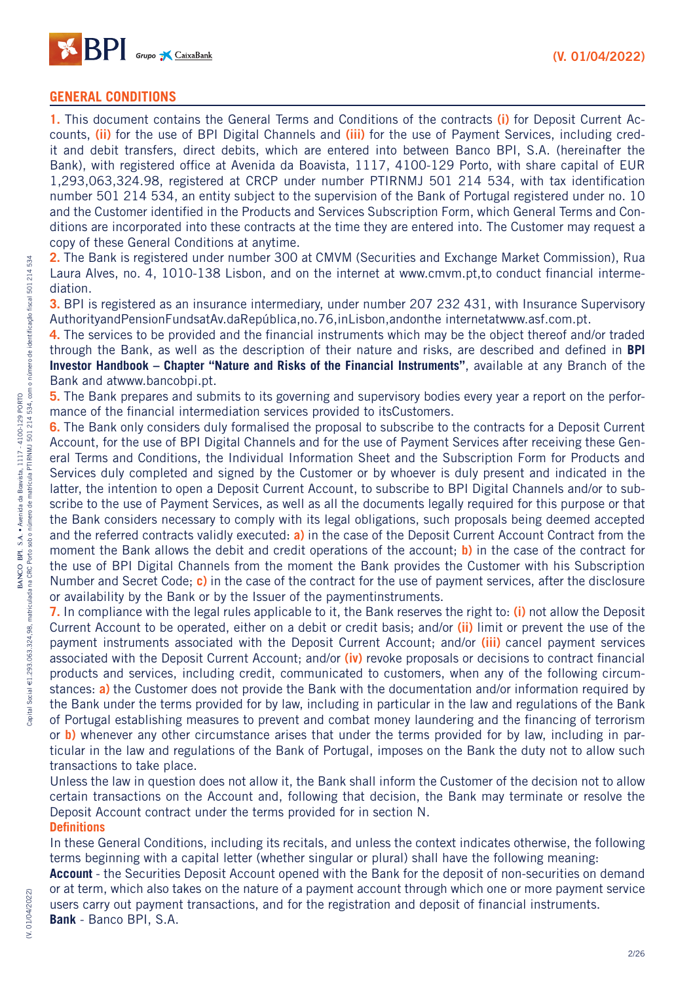

## **GENERAL CONDITIONS**

**1.** This document contains the General Terms and Conditions of the contracts **(i)** for Deposit Current Accounts, **(ii)** for the use of BPI Digital Channels and **(iii)** for the use of Payment Services, including credit and debit transfers, direct debits, which are entered into between Banco BPI, S.A. (hereinafter the Bank), with registered office at Avenida da Boavista, 1117, 4100-129 Porto, with share capital of EUR 1,293,063,324.98, registered at CRCP under number PTIRNMJ 501 214 534, with tax identification number 501 214 534, an entity subject to the supervision of the Bank of Portugal registered under no. 10 and the Customer identified in the Products and Services Subscription Form, which General Terms and Conditions are incorporated into these contracts at the time they are entered into. The Customer may request a copy of these General Conditions at anytime.

**2.** The Bank is registered under number 300 at CMVM (Securities and Exchange Market Commission), Rua Laura Alves, no. 4, 1010-138 Lisbon, and on the internet at www.cmvm.pt,to conduct financial intermediation.

**3.** BPI is registered as an insurance intermediary, under number 207 232 431, with Insurance Supervisory AuthorityandPensionFundsatAv.daRepública,no.76,inLisbon,andonthe internetatwww.asf.com.pt.

**4.** The services to be provided and the financial instruments which may be the object thereof and/or traded through the Bank, as well as the description of their nature and risks, are described and defined in **BPI Investor Handbook – Chapter "Nature and Risks of the Financial Instruments"**, available at any Branch of the Bank and atwww.bancobpi.pt.

**5.** The Bank prepares and submits to its governing and supervisory bodies every year a report on the performance of the financial intermediation services provided to itsCustomers.

**6.** The Bank only considers duly formalised the proposal to subscribe to the contracts for a Deposit Current Account, for the use of BPI Digital Channels and for the use of Payment Services after receiving these General Terms and Conditions, the Individual Information Sheet and the Subscription Form for Products and Services duly completed and signed by the Customer or by whoever is duly present and indicated in the latter, the intention to open a Deposit Current Account, to subscribe to BPI Digital Channels and/or to subscribe to the use of Payment Services, as well as all the documents legally required for this purpose or that the Bank considers necessary to comply with its legal obligations, such proposals being deemed accepted and the referred contracts validly executed: **a)** in the case of the Deposit Current Account Contract from the moment the Bank allows the debit and credit operations of the account; **b)** in the case of the contract for the use of BPI Digital Channels from the moment the Bank provides the Customer with his Subscription Number and Secret Code; **c)** in the case of the contract for the use of payment services, after the disclosure or availability by the Bank or by the Issuer of the paymentinstruments.

**7.** In compliance with the legal rules applicable to it, the Bank reserves the right to: **(i)** not allow the Deposit Current Account to be operated, either on a debit or credit basis; and/or **(ii)** limit or prevent the use of the payment instruments associated with the Deposit Current Account; and/or **(iii)** cancel payment services associated with the Deposit Current Account; and/or **(iv)** revoke proposals or decisions to contract financial products and services, including credit, communicated to customers, when any of the following circumstances: **a)** the Customer does not provide the Bank with the documentation and/or information required by the Bank under the terms provided for by law, including in particular in the law and regulations of the Bank of Portugal establishing measures to prevent and combat money laundering and the financing of terrorism or **b)** whenever any other circumstance arises that under the terms provided for by law, including in particular in the law and regulations of the Bank of Portugal, imposes on the Bank the duty not to allow such transactions to take place.

Unless the law in question does not allow it, the Bank shall inform the Customer of the decision not to allow certain transactions on the Account and, following that decision, the Bank may terminate or resolve the Deposit Account contract under the terms provided for in section N. **Definitions**

In these General Conditions, including its recitals, and unless the context indicates otherwise, the following terms beginning with a capital letter (whether singular or plural) shall have the following meaning:

**Account** - the Securities Deposit Account opened with the Bank for the deposit of non-securities on demand or at term, which also takes on the nature of a payment account through which one or more payment service users carry out payment transactions, and for the registration and deposit of financial instruments. **Bank** - Banco BPI, S.A.

534

(V. 01/04/2022)

(V. 01/04/2022)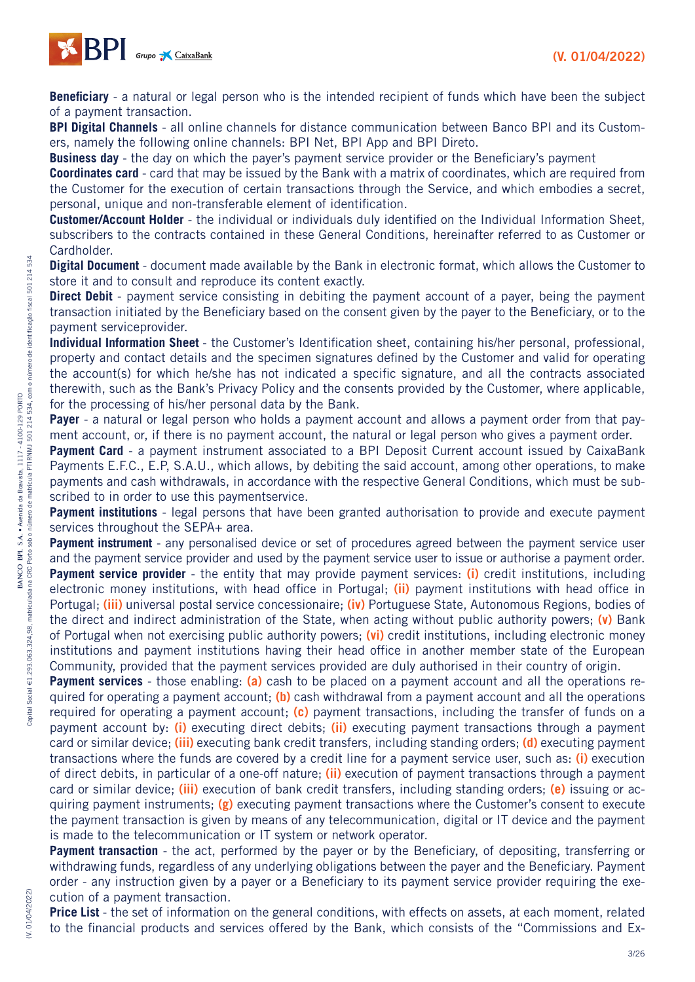

**Beneficiary** - a natural or legal person who is the intended recipient of funds which have been the subject of a payment transaction.

**BPI Digital Channels** - all online channels for distance communication between Banco BPI and its Customers, namely the following online channels: BPI Net, BPI App and BPI Direto.

**Business day** - the day on which the payer's payment service provider or the Beneficiary's payment

**Coordinates card** - card that may be issued by the Bank with a matrix of coordinates, which are required from the Customer for the execution of certain transactions through the Service, and which embodies a secret, personal, unique and non-transferable element of identification.

**Customer/Account Holder** - the individual or individuals duly identified on the Individual Information Sheet, subscribers to the contracts contained in these General Conditions, hereinafter referred to as Customer or Cardholder.

**Digital Document** - document made available by the Bank in electronic format, which allows the Customer to store it and to consult and reproduce its content exactly.

**Direct Debit** - payment service consisting in debiting the payment account of a payer, being the payment transaction initiated by the Beneficiary based on the consent given by the payer to the Beneficiary, or to the payment serviceprovider.

**Individual Information Sheet** - the Customer's Identification sheet, containing his/her personal, professional, property and contact details and the specimen signatures defined by the Customer and valid for operating the account(s) for which he/she has not indicated a specific signature, and all the contracts associated therewith, such as the Bank's Privacy Policy and the consents provided by the Customer, where applicable, for the processing of his/her personal data by the Bank.

**Payer** - a natural or legal person who holds a payment account and allows a payment order from that payment account, or, if there is no payment account, the natural or legal person who gives a payment order.

**Payment Card** - a payment instrument associated to a BPI Deposit Current account issued by CaixaBank Payments E.F.C., E.P, S.A.U., which allows, by debiting the said account, among other operations, to make payments and cash withdrawals, in accordance with the respective General Conditions, which must be subscribed to in order to use this paymentservice.

**Payment institutions** - legal persons that have been granted authorisation to provide and execute payment services throughout the SEPA+ area.

**Payment instrument** - any personalised device or set of procedures agreed between the payment service user and the payment service provider and used by the payment service user to issue or authorise a payment order. **Payment service provider** - the entity that may provide payment services: **(i)** credit institutions, including electronic money institutions, with head office in Portugal; **(ii)** payment institutions with head office in Portugal; **(iii)** universal postal service concessionaire; **(iv)** Portuguese State, Autonomous Regions, bodies of the direct and indirect administration of the State, when acting without public authority powers; **(v)** Bank of Portugal when not exercising public authority powers; **(vi)** credit institutions, including electronic money institutions and payment institutions having their head office in another member state of the European Community, provided that the payment services provided are duly authorised in their country of origin.

**Payment services** - those enabling: (a) cash to be placed on a payment account and all the operations required for operating a payment account; **(b)** cash withdrawal from a payment account and all the operations required for operating a payment account; **(c)** payment transactions, including the transfer of funds on a payment account by: **(i)** executing direct debits; **(ii)** executing payment transactions through a payment card or similar device; **(iii)** executing bank credit transfers, including standing orders; **(d)** executing payment transactions where the funds are covered by a credit line for a payment service user, such as: **(i)** execution of direct debits, in particular of a one-off nature; **(ii)** execution of payment transactions through a payment card or similar device; **(iii)** execution of bank credit transfers, including standing orders; **(e)** issuing or acquiring payment instruments; **(g)** executing payment transactions where the Customer's consent to execute the payment transaction is given by means of any telecommunication, digital or IT device and the payment is made to the telecommunication or IT system or network operator.

**Payment transaction** - the act, performed by the payer or by the Beneficiary, of depositing, transferring or withdrawing funds, regardless of any underlying obligations between the payer and the Beneficiary. Payment order - any instruction given by a payer or a Beneficiary to its payment service provider requiring the execution of a payment transaction.

**Price List** - the set of information on the general conditions, with effects on assets, at each moment, related to the financial products and services offered by the Bank, which consists of the "Commissions and Ex-

534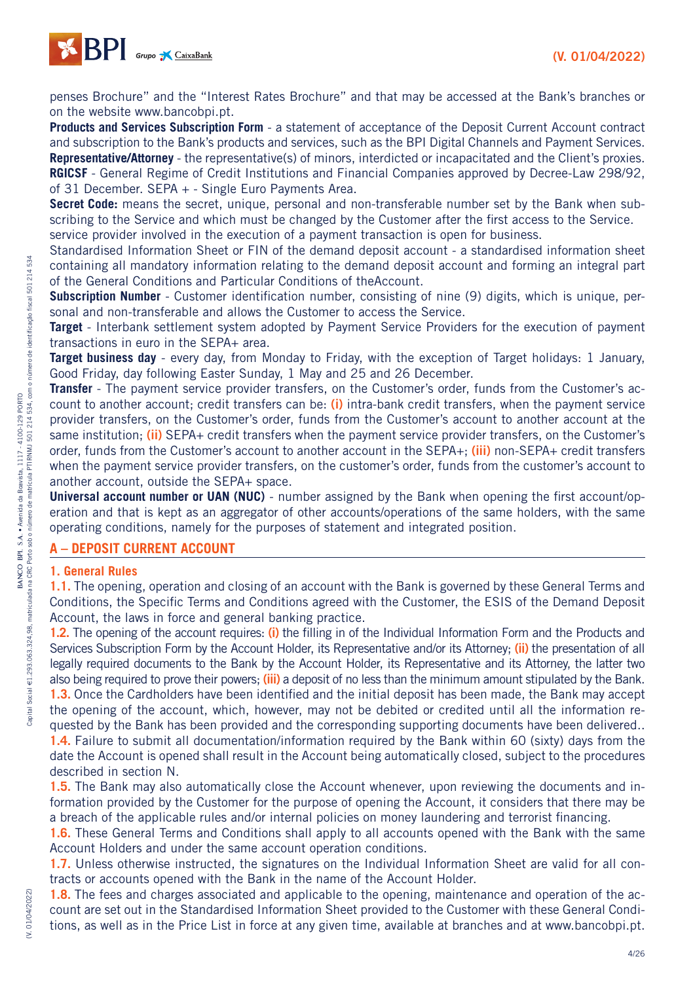

penses Brochure" and the "Interest Rates Brochure" and that may be accessed at the Bank's branches or on the website www.bancobpi.pt.

**Products and Services Subscription Form** - a statement of acceptance of the Deposit Current Account contract and subscription to the Bank's products and services, such as the BPI Digital Channels and Payment Services. **Representative/Attorney** - the representative(s) of minors, interdicted or incapacitated and the Client's proxies. **RGICSF** - General Regime of Credit Institutions and Financial Companies approved by Decree-Law 298/92, of 31 December. SEPA + - Single Euro Payments Area.

**Secret Code:** means the secret, unique, personal and non-transferable number set by the Bank when subscribing to the Service and which must be changed by the Customer after the first access to the Service. service provider involved in the execution of a payment transaction is open for business.

Standardised Information Sheet or FIN of the demand deposit account - a standardised information sheet containing all mandatory information relating to the demand deposit account and forming an integral part of the General Conditions and Particular Conditions of theAccount.

**Subscription Number** - Customer identification number, consisting of nine (9) digits, which is unique, personal and non-transferable and allows the Customer to access the Service.

**Target** - Interbank settlement system adopted by Payment Service Providers for the execution of payment transactions in euro in the SEPA+ area.

**Target business day** - every day, from Monday to Friday, with the exception of Target holidays: 1 January, Good Friday, day following Easter Sunday, 1 May and 25 and 26 December.

**Transfer** - The payment service provider transfers, on the Customer's order, funds from the Customer's account to another account; credit transfers can be: **(i)** intra-bank credit transfers, when the payment service provider transfers, on the Customer's order, funds from the Customer's account to another account at the same institution; **(ii)** SEPA+ credit transfers when the payment service provider transfers, on the Customer's order, funds from the Customer's account to another account in the SEPA+; **(iii)** non-SEPA+ credit transfers when the payment service provider transfers, on the customer's order, funds from the customer's account to another account, outside the SEPA+ space.

**Universal account number or UAN (NUC)** - number assigned by the Bank when opening the first account/operation and that is kept as an aggregator of other accounts/operations of the same holders, with the same operating conditions, namely for the purposes of statement and integrated position.

## **A – DEPOSIT CURRENT ACCOUNT**

#### **1. General Rules**

**1.1.** The opening, operation and closing of an account with the Bank is governed by these General Terms and Conditions, the Specific Terms and Conditions agreed with the Customer, the ESIS of the Demand Deposit Account, the laws in force and general banking practice.

**1.2.** The opening of the account requires: **(i)** the filling in of the Individual Information Form and the Products and Services Subscription Form by the Account Holder, its Representative and/or its Attorney; **(ii)** the presentation of all legally required documents to the Bank by the Account Holder, its Representative and its Attorney, the latter two also being required to prove their powers; **(iii)** a deposit of no less than the minimum amount stipulated by the Bank. **1.3.** Once the Cardholders have been identified and the initial deposit has been made, the Bank may accept the opening of the account, which, however, may not be debited or credited until all the information requested by the Bank has been provided and the corresponding supporting documents have been delivered..

**1.4.** Failure to submit all documentation/information required by the Bank within 60 (sixty) days from the date the Account is opened shall result in the Account being automatically closed, subject to the procedures described in section N.

**1.5.** The Bank may also automatically close the Account whenever, upon reviewing the documents and information provided by the Customer for the purpose of opening the Account, it considers that there may be a breach of the applicable rules and/or internal policies on money laundering and terrorist financing.

**1.6.** These General Terms and Conditions shall apply to all accounts opened with the Bank with the same Account Holders and under the same account operation conditions.

**1.7.** Unless otherwise instructed, the signatures on the Individual Information Sheet are valid for all contracts or accounts opened with the Bank in the name of the Account Holder.

**1.8.** The fees and charges associated and applicable to the opening, maintenance and operation of the account are set out in the Standardised Information Sheet provided to the Customer with these General Conditions, as well as in the Price List in force at any given time, available at branches and at www.bancobpi.pt.

(V. 01/04/2022)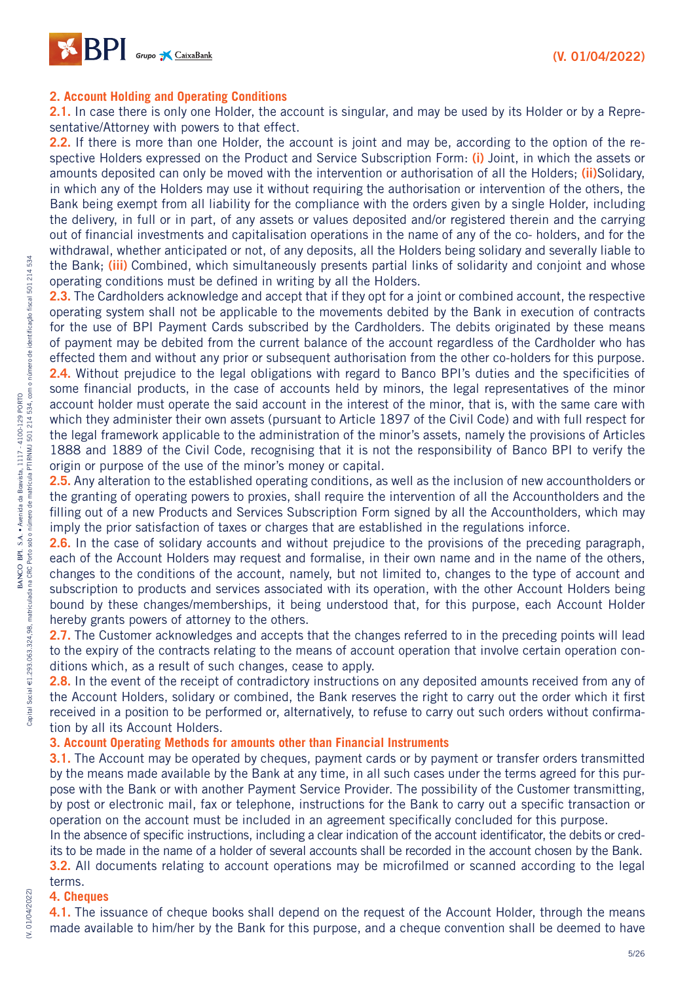

#### **2. Account Holding and Operating Conditions**

**2.1.** In case there is only one Holder, the account is singular, and may be used by its Holder or by a Representative/Attorney with powers to that effect.

**2.2.** If there is more than one Holder, the account is joint and may be, according to the option of the respective Holders expressed on the Product and Service Subscription Form: **(i)** Joint, in which the assets or amounts deposited can only be moved with the intervention or authorisation of all the Holders; **(ii)**Solidary, in which any of the Holders may use it without requiring the authorisation or intervention of the others, the Bank being exempt from all liability for the compliance with the orders given by a single Holder, including the delivery, in full or in part, of any assets or values deposited and/or registered therein and the carrying out of financial investments and capitalisation operations in the name of any of the co- holders, and for the withdrawal, whether anticipated or not, of any deposits, all the Holders being solidary and severally liable to the Bank; **(iii)** Combined, which simultaneously presents partial links of solidarity and conjoint and whose operating conditions must be defined in writing by all the Holders.

2.3. The Cardholders acknowledge and accept that if they opt for a joint or combined account, the respective operating system shall not be applicable to the movements debited by the Bank in execution of contracts for the use of BPI Payment Cards subscribed by the Cardholders. The debits originated by these means of payment may be debited from the current balance of the account regardless of the Cardholder who has effected them and without any prior or subsequent authorisation from the other co-holders for this purpose. **2.4.** Without prejudice to the legal obligations with regard to Banco BPI's duties and the specificities of some financial products, in the case of accounts held by minors, the legal representatives of the minor account holder must operate the said account in the interest of the minor, that is, with the same care with which they administer their own assets (pursuant to Article 1897 of the Civil Code) and with full respect for the legal framework applicable to the administration of the minor's assets, namely the provisions of Articles 1888 and 1889 of the Civil Code, recognising that it is not the responsibility of Banco BPI to verify the origin or purpose of the use of the minor's money or capital.

**2.5.** Any alteration to the established operating conditions, as well as the inclusion of new accountholders or the granting of operating powers to proxies, shall require the intervention of all the Accountholders and the filling out of a new Products and Services Subscription Form signed by all the Accountholders, which may imply the prior satisfaction of taxes or charges that are established in the regulations inforce.

**2.6.** In the case of solidary accounts and without prejudice to the provisions of the preceding paragraph, each of the Account Holders may request and formalise, in their own name and in the name of the others, changes to the conditions of the account, namely, but not limited to, changes to the type of account and subscription to products and services associated with its operation, with the other Account Holders being bound by these changes/memberships, it being understood that, for this purpose, each Account Holder hereby grants powers of attorney to the others.

**2.7.** The Customer acknowledges and accepts that the changes referred to in the preceding points will lead to the expiry of the contracts relating to the means of account operation that involve certain operation conditions which, as a result of such changes, cease to apply.

2.8. In the event of the receipt of contradictory instructions on any deposited amounts received from any of the Account Holders, solidary or combined, the Bank reserves the right to carry out the order which it first received in a position to be performed or, alternatively, to refuse to carry out such orders without confirmation by all its Account Holders.

#### **3. Account Operating Methods for amounts other than Financial Instruments**

**3.1.** The Account may be operated by cheques, payment cards or by payment or transfer orders transmitted by the means made available by the Bank at any time, in all such cases under the terms agreed for this purpose with the Bank or with another Payment Service Provider. The possibility of the Customer transmitting, by post or electronic mail, fax or telephone, instructions for the Bank to carry out a specific transaction or operation on the account must be included in an agreement specifically concluded for this purpose.

In the absence of specific instructions, including a clear indication of the account identificator, the debits or credits to be made in the name of a holder of several accounts shall be recorded in the account chosen by the Bank. **3.2.** All documents relating to account operations may be microfilmed or scanned according to the legal

#### terms. **4. Cheques**

(V. 01/04/2022)

(V. 01/04/2022

**4.1.** The issuance of cheque books shall depend on the request of the Account Holder, through the means made available to him/her by the Bank for this purpose, and a cheque convention shall be deemed to have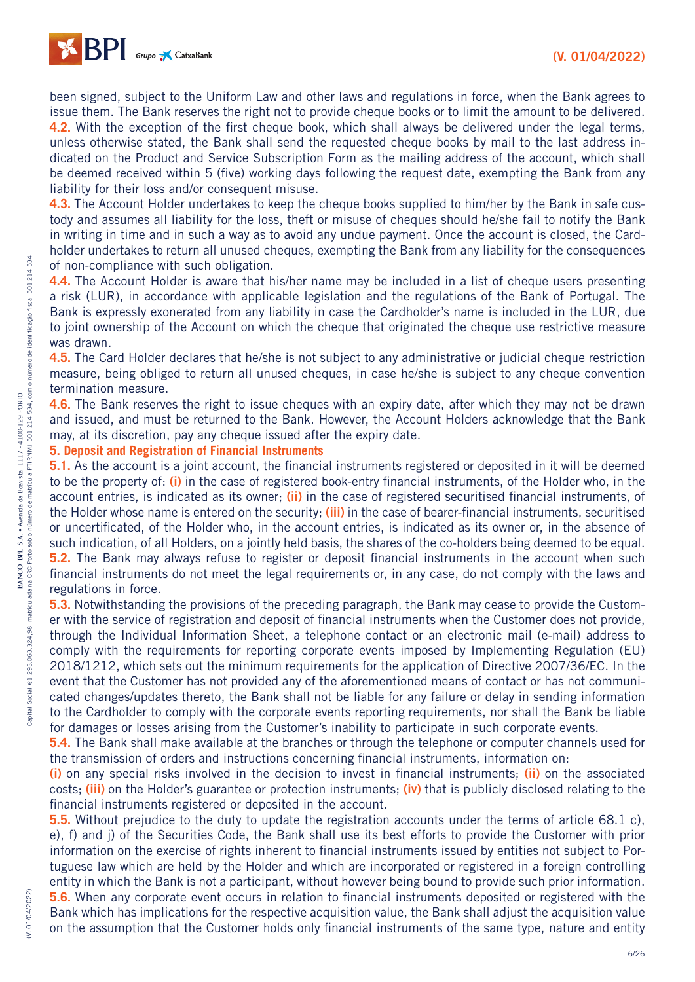

been signed, subject to the Uniform Law and other laws and regulations in force, when the Bank agrees to issue them. The Bank reserves the right not to provide cheque books or to limit the amount to be delivered. **4.2.** With the exception of the first cheque book, which shall always be delivered under the legal terms, unless otherwise stated, the Bank shall send the requested cheque books by mail to the last address indicated on the Product and Service Subscription Form as the mailing address of the account, which shall be deemed received within 5 (five) working days following the request date, exempting the Bank from any liability for their loss and/or consequent misuse.

**4.3.** The Account Holder undertakes to keep the cheque books supplied to him/her by the Bank in safe custody and assumes all liability for the loss, theft or misuse of cheques should he/she fail to notify the Bank in writing in time and in such a way as to avoid any undue payment. Once the account is closed, the Cardholder undertakes to return all unused cheques, exempting the Bank from any liability for the consequences of non-compliance with such obligation.

**4.4.** The Account Holder is aware that his/her name may be included in a list of cheque users presenting a risk (LUR), in accordance with applicable legislation and the regulations of the Bank of Portugal. The Bank is expressly exonerated from any liability in case the Cardholder's name is included in the LUR, due to joint ownership of the Account on which the cheque that originated the cheque use restrictive measure was drawn.

**4.5.** The Card Holder declares that he/she is not subject to any administrative or judicial cheque restriction measure, being obliged to return all unused cheques, in case he/she is subject to any cheque convention termination measure.

**4.6.** The Bank reserves the right to issue cheques with an expiry date, after which they may not be drawn and issued, and must be returned to the Bank. However, the Account Holders acknowledge that the Bank may, at its discretion, pay any cheque issued after the expiry date.

#### **5. Deposit and Registration of Financial Instruments**

**5.1.** As the account is a joint account, the financial instruments registered or deposited in it will be deemed to be the property of: **(i)** in the case of registered book-entry financial instruments, of the Holder who, in the account entries, is indicated as its owner; **(ii)** in the case of registered securitised financial instruments, of the Holder whose name is entered on the security; **(iii)** in the case of bearer-financial instruments, securitised or uncertificated, of the Holder who, in the account entries, is indicated as its owner or, in the absence of such indication, of all Holders, on a jointly held basis, the shares of the co-holders being deemed to be equal. **5.2.** The Bank may always refuse to register or deposit financial instruments in the account when such financial instruments do not meet the legal requirements or, in any case, do not comply with the laws and regulations in force.

**5.3.** Notwithstanding the provisions of the preceding paragraph, the Bank may cease to provide the Customer with the service of registration and deposit of financial instruments when the Customer does not provide, through the Individual Information Sheet, a telephone contact or an electronic mail (e-mail) address to comply with the requirements for reporting corporate events imposed by Implementing Regulation (EU) 2018/1212, which sets out the minimum requirements for the application of Directive 2007/36/EC. In the event that the Customer has not provided any of the aforementioned means of contact or has not communicated changes/updates thereto, the Bank shall not be liable for any failure or delay in sending information to the Cardholder to comply with the corporate events reporting requirements, nor shall the Bank be liable for damages or losses arising from the Customer's inability to participate in such corporate events.

**5.4.** The Bank shall make available at the branches or through the telephone or computer channels used for the transmission of orders and instructions concerning financial instruments, information on:

**(i)** on any special risks involved in the decision to invest in financial instruments; **(ii)** on the associated costs; **(iii)** on the Holder's guarantee or protection instruments; **(iv)** that is publicly disclosed relating to the financial instruments registered or deposited in the account.

**5.5.** Without prejudice to the duty to update the registration accounts under the terms of article 68.1 c), e), f) and j) of the Securities Code, the Bank shall use its best efforts to provide the Customer with prior information on the exercise of rights inherent to financial instruments issued by entities not subject to Portuguese law which are held by the Holder and which are incorporated or registered in a foreign controlling entity in which the Bank is not a participant, without however being bound to provide such prior information.

**5.6.** When any corporate event occurs in relation to financial instruments deposited or registered with the Bank which has implications for the respective acquisition value, the Bank shall adjust the acquisition value on the assumption that the Customer holds only financial instruments of the same type, nature and entity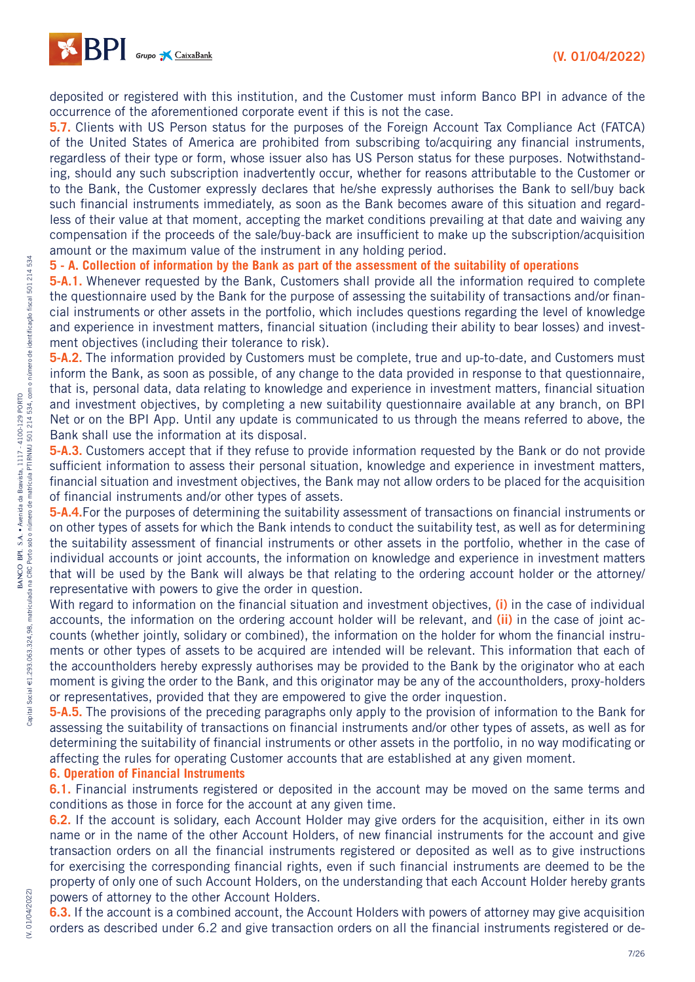

deposited or registered with this institution, and the Customer must inform Banco BPI in advance of the occurrence of the aforementioned corporate event if this is not the case.

**5.7.** Clients with US Person status for the purposes of the Foreign Account Tax Compliance Act (FATCA) of the United States of America are prohibited from subscribing to/acquiring any financial instruments, regardless of their type or form, whose issuer also has US Person status for these purposes. Notwithstanding, should any such subscription inadvertently occur, whether for reasons attributable to the Customer or to the Bank, the Customer expressly declares that he/she expressly authorises the Bank to sell/buy back such financial instruments immediately, as soon as the Bank becomes aware of this situation and regardless of their value at that moment, accepting the market conditions prevailing at that date and waiving any compensation if the proceeds of the sale/buy-back are insufficient to make up the subscription/acquisition amount or the maximum value of the instrument in any holding period.

#### **5 - A. Collection of information by the Bank as part of the assessment of the suitability of operations**

**5-A.1.** Whenever requested by the Bank, Customers shall provide all the information required to complete the questionnaire used by the Bank for the purpose of assessing the suitability of transactions and/or financial instruments or other assets in the portfolio, which includes questions regarding the level of knowledge and experience in investment matters, financial situation (including their ability to bear losses) and investment objectives (including their tolerance to risk).

**5-A.2.** The information provided by Customers must be complete, true and up-to-date, and Customers must inform the Bank, as soon as possible, of any change to the data provided in response to that questionnaire, that is, personal data, data relating to knowledge and experience in investment matters, financial situation and investment objectives, by completing a new suitability questionnaire available at any branch, on BPI Net or on the BPI App. Until any update is communicated to us through the means referred to above, the Bank shall use the information at its disposal.

**5-A.3.** Customers accept that if they refuse to provide information requested by the Bank or do not provide sufficient information to assess their personal situation, knowledge and experience in investment matters, financial situation and investment objectives, the Bank may not allow orders to be placed for the acquisition of financial instruments and/or other types of assets.

**5-A.4.**For the purposes of determining the suitability assessment of transactions on financial instruments or on other types of assets for which the Bank intends to conduct the suitability test, as well as for determining the suitability assessment of financial instruments or other assets in the portfolio, whether in the case of individual accounts or joint accounts, the information on knowledge and experience in investment matters that will be used by the Bank will always be that relating to the ordering account holder or the attorney/ representative with powers to give the order in question.

With regard to information on the financial situation and investment objectives, **(i)** in the case of individual accounts, the information on the ordering account holder will be relevant, and **(ii)** in the case of joint accounts (whether jointly, solidary or combined), the information on the holder for whom the financial instruments or other types of assets to be acquired are intended will be relevant. This information that each of the accountholders hereby expressly authorises may be provided to the Bank by the originator who at each moment is giving the order to the Bank, and this originator may be any of the accountholders, proxy-holders or representatives, provided that they are empowered to give the order inquestion.

**5-A.5.** The provisions of the preceding paragraphs only apply to the provision of information to the Bank for assessing the suitability of transactions on financial instruments and/or other types of assets, as well as for determining the suitability of financial instruments or other assets in the portfolio, in no way modificating or affecting the rules for operating Customer accounts that are established at any given moment.

#### **6. Operation of Financial Instruments**

**6.1.** Financial instruments registered or deposited in the account may be moved on the same terms and conditions as those in force for the account at any given time.

**6.2.** If the account is solidary, each Account Holder may give orders for the acquisition, either in its own name or in the name of the other Account Holders, of new financial instruments for the account and give transaction orders on all the financial instruments registered or deposited as well as to give instructions for exercising the corresponding financial rights, even if such financial instruments are deemed to be the property of only one of such Account Holders, on the understanding that each Account Holder hereby grants powers of attorney to the other Account Holders.

**6.3.** If the account is a combined account, the Account Holders with powers of attorney may give acquisition orders as described under 6.2 and give transaction orders on all the financial instruments registered or de-

(V. 01/04/2022)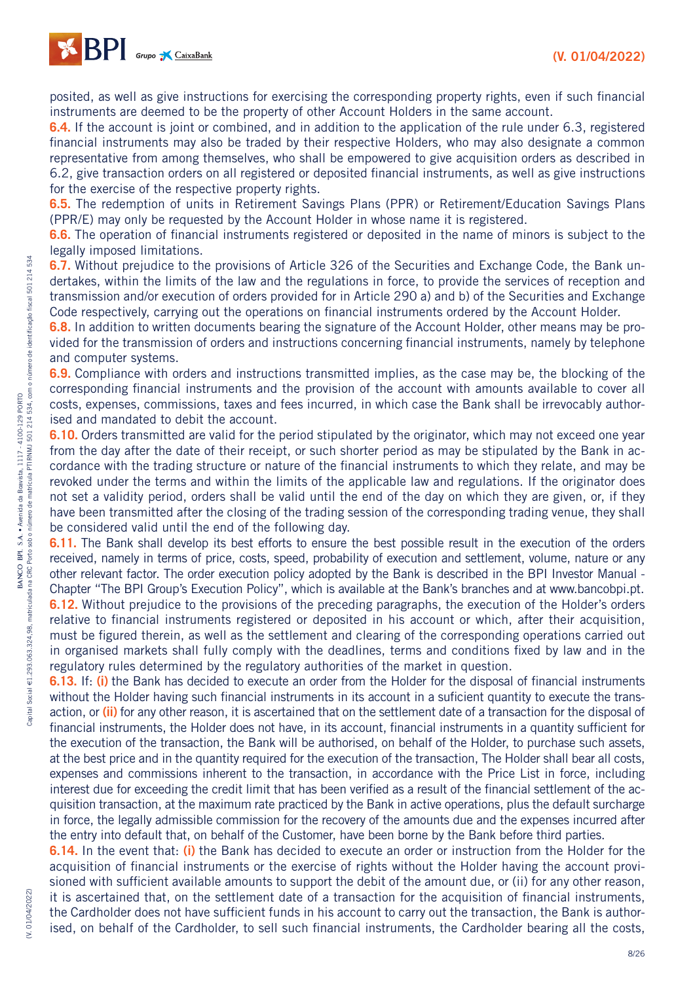

posited, as well as give instructions for exercising the corresponding property rights, even if such financial instruments are deemed to be the property of other Account Holders in the same account.

**6.4.** If the account is joint or combined, and in addition to the application of the rule under 6.3, registered financial instruments may also be traded by their respective Holders, who may also designate a common representative from among themselves, who shall be empowered to give acquisition orders as described in 6.2, give transaction orders on all registered or deposited financial instruments, as well as give instructions for the exercise of the respective property rights.

**6.5.** The redemption of units in Retirement Savings Plans (PPR) or Retirement/Education Savings Plans (PPR/E) may only be requested by the Account Holder in whose name it is registered.

**6.6.** The operation of financial instruments registered or deposited in the name of minors is subject to the legally imposed limitations.

**6.7.** Without prejudice to the provisions of Article 326 of the Securities and Exchange Code, the Bank undertakes, within the limits of the law and the regulations in force, to provide the services of reception and transmission and/or execution of orders provided for in Article 290 a) and b) of the Securities and Exchange Code respectively, carrying out the operations on financial instruments ordered by the Account Holder.

**6.8.** In addition to written documents bearing the signature of the Account Holder, other means may be provided for the transmission of orders and instructions concerning financial instruments, namely by telephone and computer systems.

**6.9.** Compliance with orders and instructions transmitted implies, as the case may be, the blocking of the corresponding financial instruments and the provision of the account with amounts available to cover all costs, expenses, commissions, taxes and fees incurred, in which case the Bank shall be irrevocably authorised and mandated to debit the account.

**6.10.** Orders transmitted are valid for the period stipulated by the originator, which may not exceed one year from the day after the date of their receipt, or such shorter period as may be stipulated by the Bank in accordance with the trading structure or nature of the financial instruments to which they relate, and may be revoked under the terms and within the limits of the applicable law and regulations. If the originator does not set a validity period, orders shall be valid until the end of the day on which they are given, or, if they have been transmitted after the closing of the trading session of the corresponding trading venue, they shall be considered valid until the end of the following day.

**6.11.** The Bank shall develop its best efforts to ensure the best possible result in the execution of the orders received, namely in terms of price, costs, speed, probability of execution and settlement, volume, nature or any other relevant factor. The order execution policy adopted by the Bank is described in the BPI Investor Manual - Chapter "The BPI Group's Execution Policy", which is available at the Bank's branches and at www.bancobpi.pt. **6.12.** Without prejudice to the provisions of the preceding paragraphs, the execution of the Holder's orders relative to financial instruments registered or deposited in his account or which, after their acquisition, must be figured therein, as well as the settlement and clearing of the corresponding operations carried out in organised markets shall fully comply with the deadlines, terms and conditions fixed by law and in the regulatory rules determined by the regulatory authorities of the market in question.

**6.13.** If: **(i)** the Bank has decided to execute an order from the Holder for the disposal of financial instruments without the Holder having such financial instruments in its account in a suficient quantity to execute the transaction, or **(ii)** for any other reason, it is ascertained that on the settlement date of a transaction for the disposal of financial instruments, the Holder does not have, in its account, financial instruments in a quantity sufficient for the execution of the transaction, the Bank will be authorised, on behalf of the Holder, to purchase such assets, at the best price and in the quantity required for the execution of the transaction, The Holder shall bear all costs, expenses and commissions inherent to the transaction, in accordance with the Price List in force, including interest due for exceeding the credit limit that has been verified as a result of the financial settlement of the acquisition transaction, at the maximum rate practiced by the Bank in active operations, plus the default surcharge in force, the legally admissible commission for the recovery of the amounts due and the expenses incurred after the entry into default that, on behalf of the Customer, have been borne by the Bank before third parties.

**6.14.** In the event that: **(i)** the Bank has decided to execute an order or instruction from the Holder for the acquisition of financial instruments or the exercise of rights without the Holder having the account provisioned with sufficient available amounts to support the debit of the amount due, or (ii) for any other reason, it is ascertained that, on the settlement date of a transaction for the acquisition of financial instruments, the Cardholder does not have sufficient funds in his account to carry out the transaction, the Bank is authorised, on behalf of the Cardholder, to sell such financial instruments, the Cardholder bearing all the costs,

(V. 01/04/2022)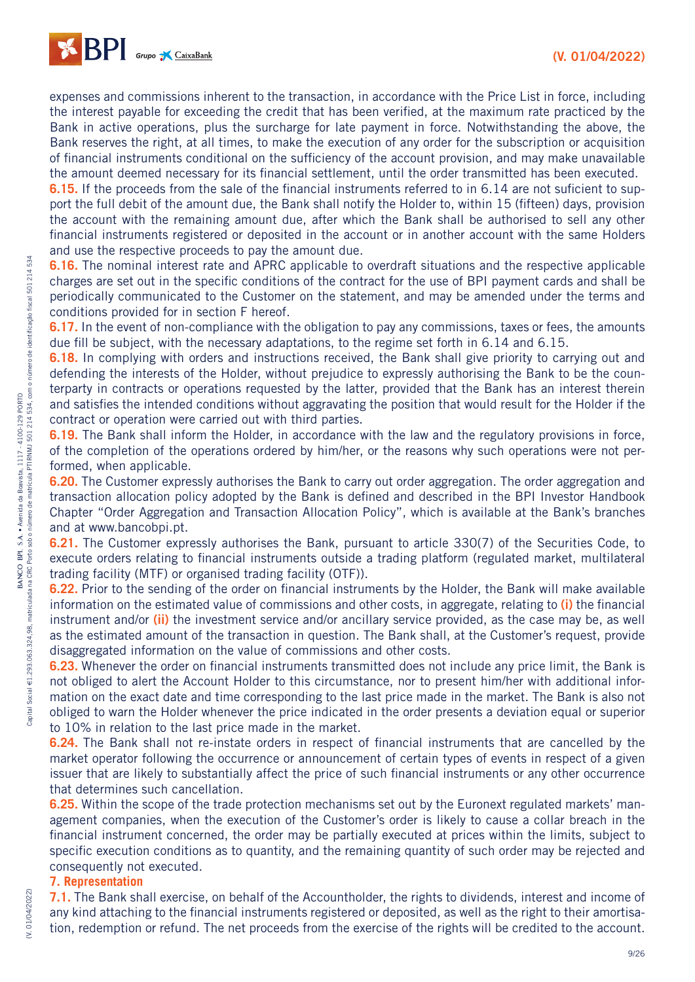

expenses and commissions inherent to the transaction, in accordance with the Price List in force, including the interest payable for exceeding the credit that has been verified, at the maximum rate practiced by the Bank in active operations, plus the surcharge for late payment in force. Notwithstanding the above, the Bank reserves the right, at all times, to make the execution of any order for the subscription or acquisition of financial instruments conditional on the sufficiency of the account provision, and may make unavailable the amount deemed necessary for its financial settlement, until the order transmitted has been executed.

**6.15.** If the proceeds from the sale of the financial instruments referred to in 6.14 are not suficient to support the full debit of the amount due, the Bank shall notify the Holder to, within 15 (fifteen) days, provision the account with the remaining amount due, after which the Bank shall be authorised to sell any other financial instruments registered or deposited in the account or in another account with the same Holders and use the respective proceeds to pay the amount due.

**6.16.** The nominal interest rate and APRC applicable to overdraft situations and the respective applicable charges are set out in the specific conditions of the contract for the use of BPI payment cards and shall be periodically communicated to the Customer on the statement, and may be amended under the terms and conditions provided for in section F hereof.

**6.17.** In the event of non-compliance with the obligation to pay any commissions, taxes or fees, the amounts due fill be subject, with the necessary adaptations, to the regime set forth in 6.14 and 6.15.

**6.18.** In complying with orders and instructions received, the Bank shall give priority to carrying out and defending the interests of the Holder, without prejudice to expressly authorising the Bank to be the counterparty in contracts or operations requested by the latter, provided that the Bank has an interest therein and satisfies the intended conditions without aggravating the position that would result for the Holder if the contract or operation were carried out with third parties.

**6.19.** The Bank shall inform the Holder, in accordance with the law and the regulatory provisions in force, of the completion of the operations ordered by him/her, or the reasons why such operations were not performed, when applicable.

**6.20.** The Customer expressly authorises the Bank to carry out order aggregation. The order aggregation and transaction allocation policy adopted by the Bank is defined and described in the BPI Investor Handbook Chapter "Order Aggregation and Transaction Allocation Policy", which is available at the Bank's branches and at www.bancobpi.pt.

**6.21.** The Customer expressly authorises the Bank, pursuant to article 330(7) of the Securities Code, to execute orders relating to financial instruments outside a trading platform (regulated market, multilateral trading facility (MTF) or organised trading facility (OTF)).

**6.22.** Prior to the sending of the order on financial instruments by the Holder, the Bank will make available information on the estimated value of commissions and other costs, in aggregate, relating to **(i)** the financial instrument and/or **(ii)** the investment service and/or ancillary service provided, as the case may be, as well as the estimated amount of the transaction in question. The Bank shall, at the Customer's request, provide disaggregated information on the value of commissions and other costs.

**6.23.** Whenever the order on financial instruments transmitted does not include any price limit, the Bank is not obliged to alert the Account Holder to this circumstance, nor to present him/her with additional information on the exact date and time corresponding to the last price made in the market. The Bank is also not obliged to warn the Holder whenever the price indicated in the order presents a deviation equal or superior to 10% in relation to the last price made in the market.

**6.24.** The Bank shall not re-instate orders in respect of financial instruments that are cancelled by the market operator following the occurrence or announcement of certain types of events in respect of a given issuer that are likely to substantially affect the price of such financial instruments or any other occurrence that determines such cancellation.

**6.25.** Within the scope of the trade protection mechanisms set out by the Euronext regulated markets' management companies, when the execution of the Customer's order is likely to cause a collar breach in the financial instrument concerned, the order may be partially executed at prices within the limits, subject to specific execution conditions as to quantity, and the remaining quantity of such order may be rejected and consequently not executed.

#### **7. Representation**

(V. 01/04/2022)

**(V. 01/04/2022** 

**7.1.** The Bank shall exercise, on behalf of the Accountholder, the rights to dividends, interest and income of any kind attaching to the financial instruments registered or deposited, as well as the right to their amortisation, redemption or refund. The net proceeds from the exercise of the rights will be credited to the account.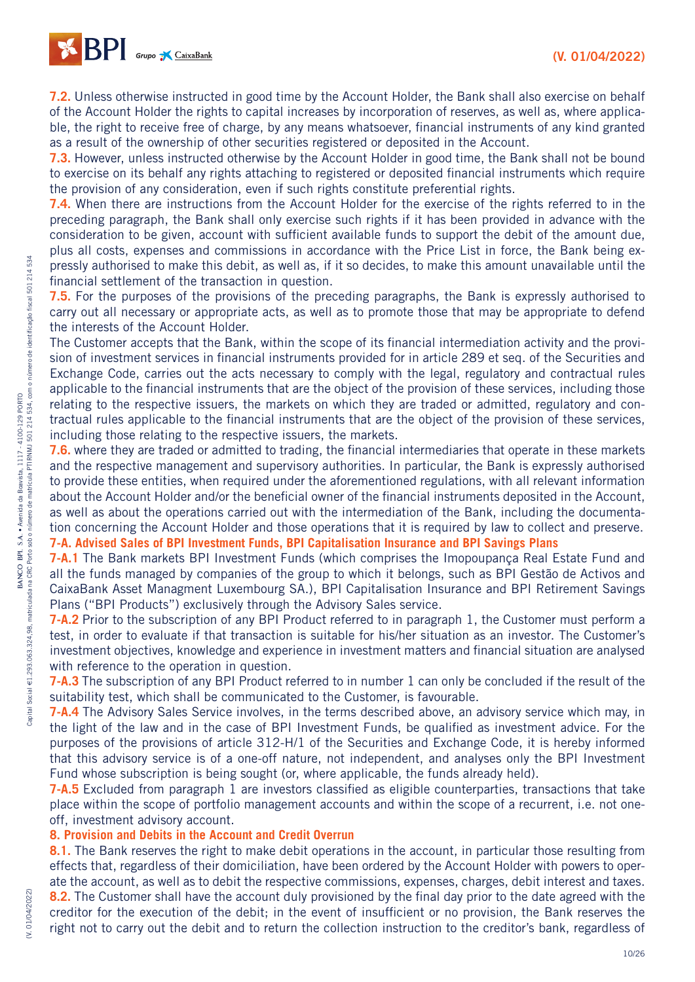

**7.2.** Unless otherwise instructed in good time by the Account Holder, the Bank shall also exercise on behalf of the Account Holder the rights to capital increases by incorporation of reserves, as well as, where applicable, the right to receive free of charge, by any means whatsoever, financial instruments of any kind granted as a result of the ownership of other securities registered or deposited in the Account.

**7.3.** However, unless instructed otherwise by the Account Holder in good time, the Bank shall not be bound to exercise on its behalf any rights attaching to registered or deposited financial instruments which require the provision of any consideration, even if such rights constitute preferential rights.

**7.4.** When there are instructions from the Account Holder for the exercise of the rights referred to in the preceding paragraph, the Bank shall only exercise such rights if it has been provided in advance with the consideration to be given, account with sufficient available funds to support the debit of the amount due, plus all costs, expenses and commissions in accordance with the Price List in force, the Bank being expressly authorised to make this debit, as well as, if it so decides, to make this amount unavailable until the financial settlement of the transaction in question.

**7.5.** For the purposes of the provisions of the preceding paragraphs, the Bank is expressly authorised to carry out all necessary or appropriate acts, as well as to promote those that may be appropriate to defend the interests of the Account Holder.

The Customer accepts that the Bank, within the scope of its financial intermediation activity and the provision of investment services in financial instruments provided for in article 289 et seq. of the Securities and Exchange Code, carries out the acts necessary to comply with the legal, regulatory and contractual rules applicable to the financial instruments that are the object of the provision of these services, including those relating to the respective issuers, the markets on which they are traded or admitted, regulatory and contractual rules applicable to the financial instruments that are the object of the provision of these services, including those relating to the respective issuers, the markets.

**7.6.** where they are traded or admitted to trading, the financial intermediaries that operate in these markets and the respective management and supervisory authorities. In particular, the Bank is expressly authorised to provide these entities, when required under the aforementioned regulations, with all relevant information about the Account Holder and/or the beneficial owner of the financial instruments deposited in the Account, as well as about the operations carried out with the intermediation of the Bank, including the documentation concerning the Account Holder and those operations that it is required by law to collect and preserve.

## **7-A. Advised Sales of BPI Investment Funds, BPI Capitalisation Insurance and BPI Savings Plans**

**7-A.1** The Bank markets BPI Investment Funds (which comprises the Imopoupança Real Estate Fund and all the funds managed by companies of the group to which it belongs, such as BPI Gestão de Activos and CaixaBank Asset Managment Luxembourg SA.), BPI Capitalisation Insurance and BPI Retirement Savings Plans ("BPI Products") exclusively through the Advisory Sales service.

**7-A.2** Prior to the subscription of any BPI Product referred to in paragraph 1, the Customer must perform a test, in order to evaluate if that transaction is suitable for his/her situation as an investor. The Customer's investment objectives, knowledge and experience in investment matters and financial situation are analysed with reference to the operation in question.

**7-A.3** The subscription of any BPI Product referred to in number 1 can only be concluded if the result of the suitability test, which shall be communicated to the Customer, is favourable.

**7-A.4** The Advisory Sales Service involves, in the terms described above, an advisory service which may, in the light of the law and in the case of BPI Investment Funds, be qualified as investment advice. For the purposes of the provisions of article 312-H/1 of the Securities and Exchange Code, it is hereby informed that this advisory service is of a one-off nature, not independent, and analyses only the BPI Investment Fund whose subscription is being sought (or, where applicable, the funds already held).

**7-A.5** Excluded from paragraph 1 are investors classified as eligible counterparties, transactions that take place within the scope of portfolio management accounts and within the scope of a recurrent, i.e. not oneoff, investment advisory account.

#### **8. Provision and Debits in the Account and Credit Overrun**

**8.1.** The Bank reserves the right to make debit operations in the account, in particular those resulting from effects that, regardless of their domiciliation, have been ordered by the Account Holder with powers to operate the account, as well as to debit the respective commissions, expenses, charges, debit interest and taxes.

**8.2.** The Customer shall have the account duly provisioned by the final day prior to the date agreed with the creditor for the execution of the debit; in the event of insufficient or no provision, the Bank reserves the right not to carry out the debit and to return the collection instruction to the creditor's bank, regardless of

(V. 01/04/2022)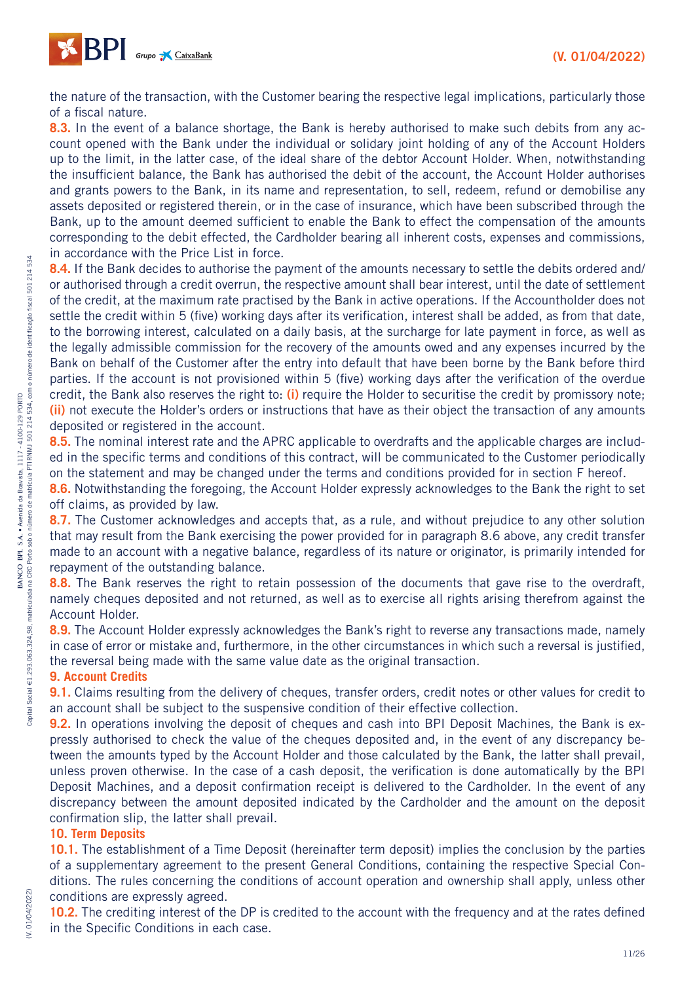

the nature of the transaction, with the Customer bearing the respective legal implications, particularly those of a fiscal nature.

**8.3.** In the event of a balance shortage, the Bank is hereby authorised to make such debits from any account opened with the Bank under the individual or solidary joint holding of any of the Account Holders up to the limit, in the latter case, of the ideal share of the debtor Account Holder. When, notwithstanding the insufficient balance, the Bank has authorised the debit of the account, the Account Holder authorises and grants powers to the Bank, in its name and representation, to sell, redeem, refund or demobilise any assets deposited or registered therein, or in the case of insurance, which have been subscribed through the Bank, up to the amount deemed sufficient to enable the Bank to effect the compensation of the amounts corresponding to the debit effected, the Cardholder bearing all inherent costs, expenses and commissions, in accordance with the Price List in force.

8.4. If the Bank decides to authorise the payment of the amounts necessary to settle the debits ordered and/ or authorised through a credit overrun, the respective amount shall bear interest, until the date of settlement of the credit, at the maximum rate practised by the Bank in active operations. If the Accountholder does not settle the credit within 5 (five) working days after its verification, interest shall be added, as from that date, to the borrowing interest, calculated on a daily basis, at the surcharge for late payment in force, as well as the legally admissible commission for the recovery of the amounts owed and any expenses incurred by the Bank on behalf of the Customer after the entry into default that have been borne by the Bank before third parties. If the account is not provisioned within 5 (five) working days after the verification of the overdue credit, the Bank also reserves the right to: **(i)** require the Holder to securitise the credit by promissory note; **(ii)** not execute the Holder's orders or instructions that have as their object the transaction of any amounts deposited or registered in the account.

**8.5.** The nominal interest rate and the APRC applicable to overdrafts and the applicable charges are included in the specific terms and conditions of this contract, will be communicated to the Customer periodically on the statement and may be changed under the terms and conditions provided for in section F hereof.

**8.6.** Notwithstanding the foregoing, the Account Holder expressly acknowledges to the Bank the right to set off claims, as provided by law.

**8.7.** The Customer acknowledges and accepts that, as a rule, and without prejudice to any other solution that may result from the Bank exercising the power provided for in paragraph 8.6 above, any credit transfer made to an account with a negative balance, regardless of its nature or originator, is primarily intended for repayment of the outstanding balance.

**8.8.** The Bank reserves the right to retain possession of the documents that gave rise to the overdraft, namely cheques deposited and not returned, as well as to exercise all rights arising therefrom against the Account Holder.

**8.9.** The Account Holder expressly acknowledges the Bank's right to reverse any transactions made, namely in case of error or mistake and, furthermore, in the other circumstances in which such a reversal is justified, the reversal being made with the same value date as the original transaction.

#### **9. Account Credits**

**9.1.** Claims resulting from the delivery of cheques, transfer orders, credit notes or other values for credit to an account shall be subject to the suspensive condition of their effective collection.

**9.2.** In operations involving the deposit of cheques and cash into BPI Deposit Machines, the Bank is expressly authorised to check the value of the cheques deposited and, in the event of any discrepancy between the amounts typed by the Account Holder and those calculated by the Bank, the latter shall prevail, unless proven otherwise. In the case of a cash deposit, the verification is done automatically by the BPI Deposit Machines, and a deposit confirmation receipt is delivered to the Cardholder. In the event of any discrepancy between the amount deposited indicated by the Cardholder and the amount on the deposit confirmation slip, the latter shall prevail.

#### **10. Term Deposits**

(V. 01/04/2022)

(V. 01/04/2022

**10.1.** The establishment of a Time Deposit (hereinafter term deposit) implies the conclusion by the parties of a supplementary agreement to the present General Conditions, containing the respective Special Conditions. The rules concerning the conditions of account operation and ownership shall apply, unless other conditions are expressly agreed.

**10.2.** The crediting interest of the DP is credited to the account with the frequency and at the rates defined in the Specific Conditions in each case.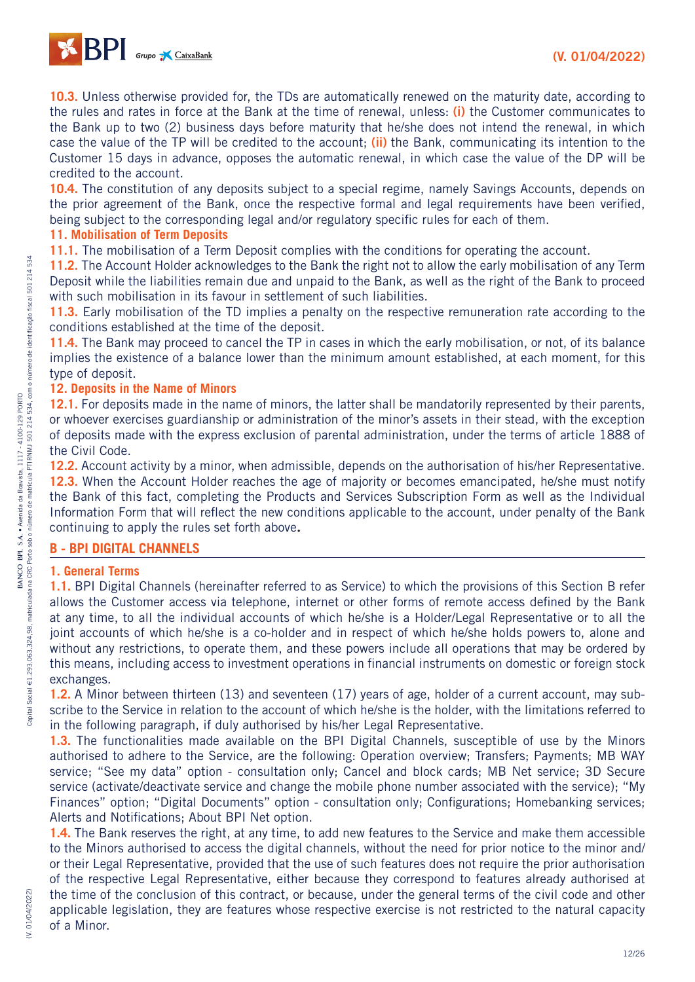

**10.3.** Unless otherwise provided for, the TDs are automatically renewed on the maturity date, according to the rules and rates in force at the Bank at the time of renewal, unless: **(i)** the Customer communicates to the Bank up to two (2) business days before maturity that he/she does not intend the renewal, in which case the value of the TP will be credited to the account; **(ii)** the Bank, communicating its intention to the Customer 15 days in advance, opposes the automatic renewal, in which case the value of the DP will be credited to the account.

**10.4.** The constitution of any deposits subject to a special regime, namely Savings Accounts, depends on the prior agreement of the Bank, once the respective formal and legal requirements have been verified, being subject to the corresponding legal and/or regulatory specific rules for each of them.

#### **11. Mobilisation of Term Deposits**

**11.1.** The mobilisation of a Term Deposit complies with the conditions for operating the account.

**11.2.** The Account Holder acknowledges to the Bank the right not to allow the early mobilisation of any Term Deposit while the liabilities remain due and unpaid to the Bank, as well as the right of the Bank to proceed with such mobilisation in its favour in settlement of such liabilities.

**11.3.** Early mobilisation of the TD implies a penalty on the respective remuneration rate according to the conditions established at the time of the deposit.

**11.4.** The Bank may proceed to cancel the TP in cases in which the early mobilisation, or not, of its balance implies the existence of a balance lower than the minimum amount established, at each moment, for this type of deposit.

#### **12. Deposits in the Name of Minors**

**12.1.** For deposits made in the name of minors, the latter shall be mandatorily represented by their parents, or whoever exercises guardianship or administration of the minor's assets in their stead, with the exception of deposits made with the express exclusion of parental administration, under the terms of article 1888 of the Civil Code.

**12.2.** Account activity by a minor, when admissible, depends on the authorisation of his/her Representative. **12.3.** When the Account Holder reaches the age of majority or becomes emancipated, he/she must notify the Bank of this fact, completing the Products and Services Subscription Form as well as the Individual Information Form that will reflect the new conditions applicable to the account, under penalty of the Bank continuing to apply the rules set forth above**.**

#### **B - BPI DIGITAL CHANNELS**

#### **1. General Terms**

**1.1.** BPI Digital Channels (hereinafter referred to as Service) to which the provisions of this Section B refer allows the Customer access via telephone, internet or other forms of remote access defined by the Bank at any time, to all the individual accounts of which he/she is a Holder/Legal Representative or to all the joint accounts of which he/she is a co-holder and in respect of which he/she holds powers to, alone and without any restrictions, to operate them, and these powers include all operations that may be ordered by this means, including access to investment operations in financial instruments on domestic or foreign stock exchanges.

**1.2.** A Minor between thirteen (13) and seventeen (17) years of age, holder of a current account, may subscribe to the Service in relation to the account of which he/she is the holder, with the limitations referred to in the following paragraph, if duly authorised by his/her Legal Representative.

**1.3.** The functionalities made available on the BPI Digital Channels, susceptible of use by the Minors authorised to adhere to the Service, are the following: Operation overview; Transfers; Payments; MB WAY service; "See my data" option - consultation only; Cancel and block cards; MB Net service; 3D Secure service (activate/deactivate service and change the mobile phone number associated with the service); "My Finances" option; "Digital Documents" option - consultation only; Configurations; Homebanking services; Alerts and Notifications; About BPI Net option.

**1.4.** The Bank reserves the right, at any time, to add new features to the Service and make them accessible to the Minors authorised to access the digital channels, without the need for prior notice to the minor and/ or their Legal Representative, provided that the use of such features does not require the prior authorisation of the respective Legal Representative, either because they correspond to features already authorised at the time of the conclusion of this contract, or because, under the general terms of the civil code and other applicable legislation, they are features whose respective exercise is not restricted to the natural capacity of a Minor.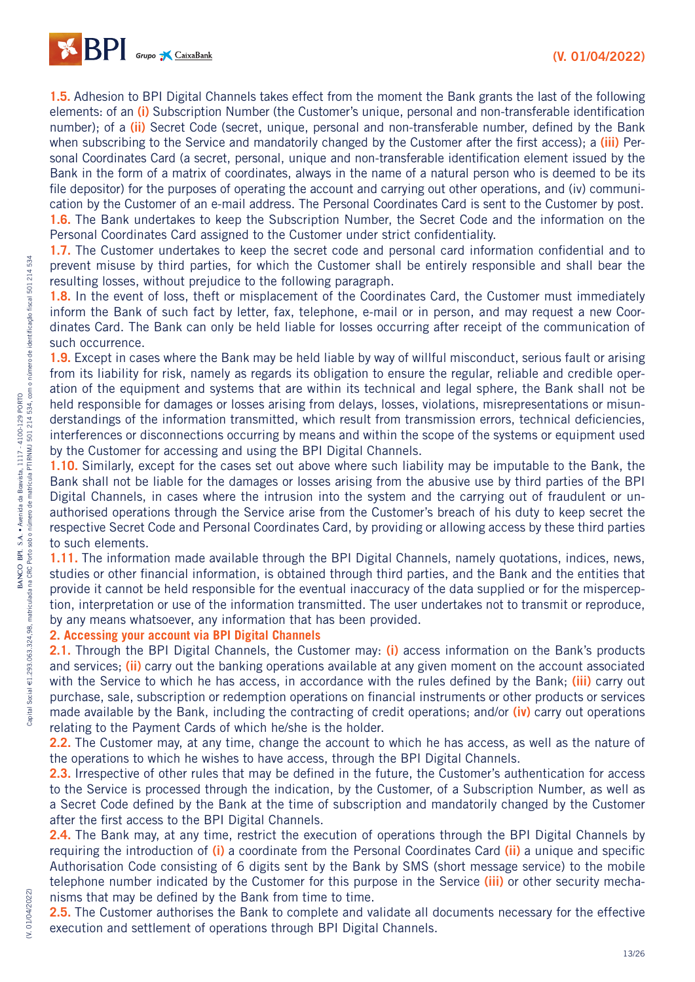

**1.5.** Adhesion to BPI Digital Channels takes effect from the moment the Bank grants the last of the following elements: of an **(i)** Subscription Number (the Customer's unique, personal and non-transferable identification number); of a **(ii)** Secret Code (secret, unique, personal and non-transferable number, defined by the Bank when subscribing to the Service and mandatorily changed by the Customer after the first access); a **(iii)** Personal Coordinates Card (a secret, personal, unique and non-transferable identification element issued by the Bank in the form of a matrix of coordinates, always in the name of a natural person who is deemed to be its file depositor) for the purposes of operating the account and carrying out other operations, and (iv) communication by the Customer of an e-mail address. The Personal Coordinates Card is sent to the Customer by post. **1.6.** The Bank undertakes to keep the Subscription Number, the Secret Code and the information on the Personal Coordinates Card assigned to the Customer under strict confidentiality.

**1.7.** The Customer undertakes to keep the secret code and personal card information confidential and to prevent misuse by third parties, for which the Customer shall be entirely responsible and shall bear the resulting losses, without prejudice to the following paragraph.

**1.8.** In the event of loss, theft or misplacement of the Coordinates Card, the Customer must immediately inform the Bank of such fact by letter, fax, telephone, e-mail or in person, and may request a new Coordinates Card. The Bank can only be held liable for losses occurring after receipt of the communication of such occurrence.

**1.9.** Except in cases where the Bank may be held liable by way of willful misconduct, serious fault or arising from its liability for risk, namely as regards its obligation to ensure the regular, reliable and credible operation of the equipment and systems that are within its technical and legal sphere, the Bank shall not be held responsible for damages or losses arising from delays, losses, violations, misrepresentations or misunderstandings of the information transmitted, which result from transmission errors, technical deficiencies, interferences or disconnections occurring by means and within the scope of the systems or equipment used by the Customer for accessing and using the BPI Digital Channels.

**1.10.** Similarly, except for the cases set out above where such liability may be imputable to the Bank, the Bank shall not be liable for the damages or losses arising from the abusive use by third parties of the BPI Digital Channels, in cases where the intrusion into the system and the carrying out of fraudulent or unauthorised operations through the Service arise from the Customer's breach of his duty to keep secret the respective Secret Code and Personal Coordinates Card, by providing or allowing access by these third parties to such elements.

**1.11.** The information made available through the BPI Digital Channels, namely quotations, indices, news, studies or other financial information, is obtained through third parties, and the Bank and the entities that provide it cannot be held responsible for the eventual inaccuracy of the data supplied or for the misperception, interpretation or use of the information transmitted. The user undertakes not to transmit or reproduce, by any means whatsoever, any information that has been provided.

#### **2. Accessing your account via BPI Digital Channels**

**2.1.** Through the BPI Digital Channels, the Customer may: **(i)** access information on the Bank's products and services; **(ii)** carry out the banking operations available at any given moment on the account associated with the Service to which he has access, in accordance with the rules defined by the Bank; **(iii)** carry out purchase, sale, subscription or redemption operations on financial instruments or other products or services made available by the Bank, including the contracting of credit operations; and/or **(iv)** carry out operations relating to the Payment Cards of which he/she is the holder.

**2.2.** The Customer may, at any time, change the account to which he has access, as well as the nature of the operations to which he wishes to have access, through the BPI Digital Channels.

**2.3.** Irrespective of other rules that may be defined in the future, the Customer's authentication for access to the Service is processed through the indication, by the Customer, of a Subscription Number, as well as a Secret Code defined by the Bank at the time of subscription and mandatorily changed by the Customer after the first access to the BPI Digital Channels.

2.4. The Bank may, at any time, restrict the execution of operations through the BPI Digital Channels by requiring the introduction of **(i)** a coordinate from the Personal Coordinates Card **(ii)** a unique and specific Authorisation Code consisting of 6 digits sent by the Bank by SMS (short message service) to the mobile telephone number indicated by the Customer for this purpose in the Service **(iii)** or other security mechanisms that may be defined by the Bank from time to time.

**2.5.** The Customer authorises the Bank to complete and validate all documents necessary for the effective execution and settlement of operations through BPI Digital Channels.

(V. 01/04/2022)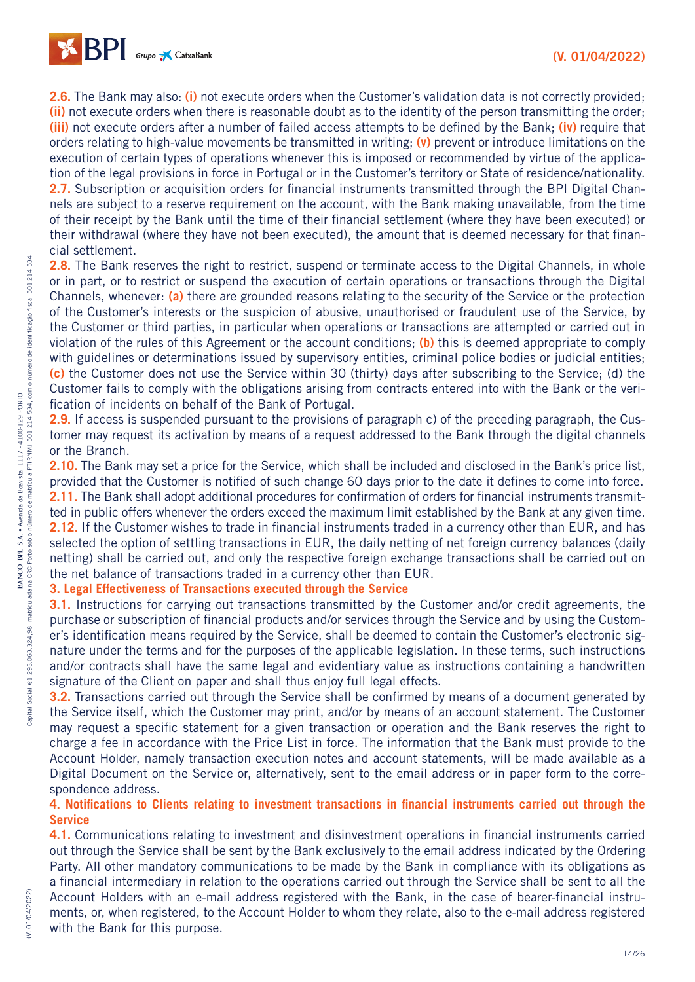

**2.6.** The Bank may also: **(i)** not execute orders when the Customer's validation data is not correctly provided; **(ii)** not execute orders when there is reasonable doubt as to the identity of the person transmitting the order; **(iii)** not execute orders after a number of failed access attempts to be defined by the Bank; **(iv)** require that orders relating to high-value movements be transmitted in writing; **(v)** prevent or introduce limitations on the execution of certain types of operations whenever this is imposed or recommended by virtue of the application of the legal provisions in force in Portugal or in the Customer's territory or State of residence/nationality. **2.7.** Subscription or acquisition orders for financial instruments transmitted through the BPI Digital Channels are subject to a reserve requirement on the account, with the Bank making unavailable, from the time of their receipt by the Bank until the time of their financial settlement (where they have been executed) or their withdrawal (where they have not been executed), the amount that is deemed necessary for that financial settlement.

2.8. The Bank reserves the right to restrict, suspend or terminate access to the Digital Channels, in whole or in part, or to restrict or suspend the execution of certain operations or transactions through the Digital Channels, whenever: **(a)** there are grounded reasons relating to the security of the Service or the protection of the Customer's interests or the suspicion of abusive, unauthorised or fraudulent use of the Service, by the Customer or third parties, in particular when operations or transactions are attempted or carried out in violation of the rules of this Agreement or the account conditions; **(b)** this is deemed appropriate to comply with guidelines or determinations issued by supervisory entities, criminal police bodies or judicial entities; **(c)** the Customer does not use the Service within 30 (thirty) days after subscribing to the Service; (d) the Customer fails to comply with the obligations arising from contracts entered into with the Bank or the verification of incidents on behalf of the Bank of Portugal.

**2.9.** If access is suspended pursuant to the provisions of paragraph c) of the preceding paragraph, the Customer may request its activation by means of a request addressed to the Bank through the digital channels or the Branch.

**2.10.** The Bank may set a price for the Service, which shall be included and disclosed in the Bank's price list, provided that the Customer is notified of such change 60 days prior to the date it defines to come into force. 2.11. The Bank shall adopt additional procedures for confirmation of orders for financial instruments transmitted in public offers whenever the orders exceed the maximum limit established by the Bank at any given time. **2.12.** If the Customer wishes to trade in financial instruments traded in a currency other than EUR, and has selected the option of settling transactions in EUR, the daily netting of net foreign currency balances (daily netting) shall be carried out, and only the respective foreign exchange transactions shall be carried out on the net balance of transactions traded in a currency other than EUR.

## **3. Legal Effectiveness of Transactions executed through the Service**

**3.1.** Instructions for carrying out transactions transmitted by the Customer and/or credit agreements, the purchase or subscription of financial products and/or services through the Service and by using the Customer's identification means required by the Service, shall be deemed to contain the Customer's electronic signature under the terms and for the purposes of the applicable legislation. In these terms, such instructions and/or contracts shall have the same legal and evidentiary value as instructions containing a handwritten signature of the Client on paper and shall thus enjoy full legal effects.

**3.2.** Transactions carried out through the Service shall be confirmed by means of a document generated by the Service itself, which the Customer may print, and/or by means of an account statement. The Customer may request a specific statement for a given transaction or operation and the Bank reserves the right to charge a fee in accordance with the Price List in force. The information that the Bank must provide to the Account Holder, namely transaction execution notes and account statements, will be made available as a Digital Document on the Service or, alternatively, sent to the email address or in paper form to the correspondence address.

## **4. Notifications to Clients relating to investment transactions in financial instruments carried out through the Service**

**4.1.** Communications relating to investment and disinvestment operations in financial instruments carried out through the Service shall be sent by the Bank exclusively to the email address indicated by the Ordering Party. All other mandatory communications to be made by the Bank in compliance with its obligations as a financial intermediary in relation to the operations carried out through the Service shall be sent to all the Account Holders with an e-mail address registered with the Bank, in the case of bearer-financial instruments, or, when registered, to the Account Holder to whom they relate, also to the e-mail address registered with the Bank for this purpose.

534

(V. 01/04/2022)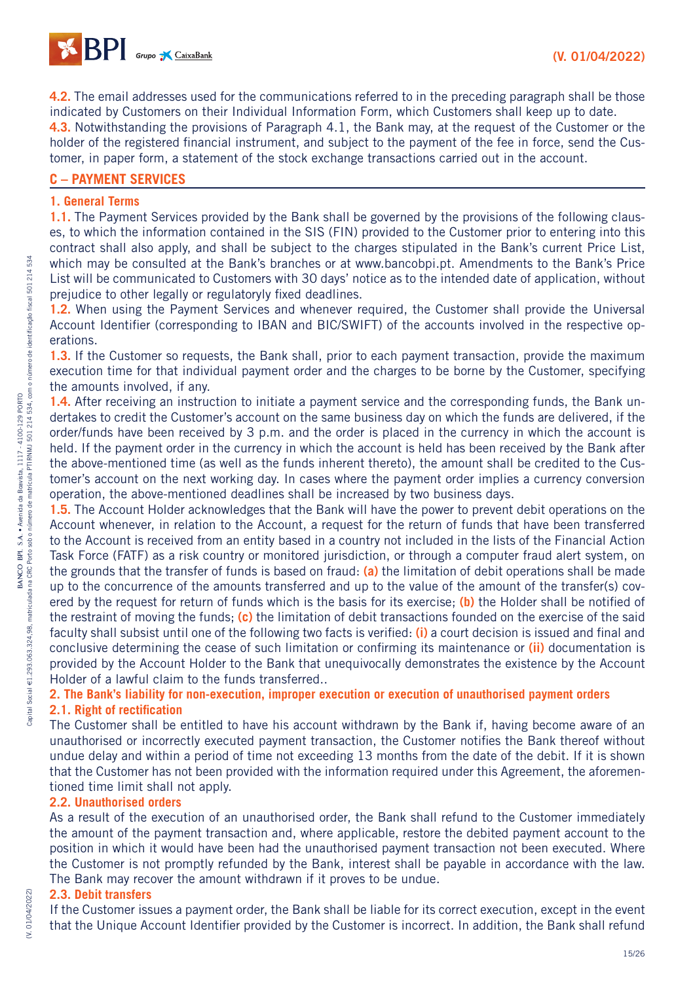**4.2.** The email addresses used for the communications referred to in the preceding paragraph shall be those indicated by Customers on their Individual Information Form, which Customers shall keep up to date.

**4.3.** Notwithstanding the provisions of Paragraph 4.1, the Bank may, at the request of the Customer or the holder of the registered financial instrument, and subject to the payment of the fee in force, send the Customer, in paper form, a statement of the stock exchange transactions carried out in the account.

## **C – PAYMENT SERVICES**

### **1. General Terms**

**1.1.** The Payment Services provided by the Bank shall be governed by the provisions of the following clauses, to which the information contained in the SIS (FIN) provided to the Customer prior to entering into this contract shall also apply, and shall be subject to the charges stipulated in the Bank's current Price List, which may be consulted at the Bank's branches or at www.bancobpi.pt. Amendments to the Bank's Price List will be communicated to Customers with 30 days' notice as to the intended date of application, without prejudice to other legally or regulatoryly fixed deadlines.

**1.2.** When using the Payment Services and whenever required, the Customer shall provide the Universal Account Identifier (corresponding to IBAN and BIC/SWIFT) of the accounts involved in the respective operations.

**1.3.** If the Customer so requests, the Bank shall, prior to each payment transaction, provide the maximum execution time for that individual payment order and the charges to be borne by the Customer, specifying the amounts involved, if any.

**1.4.** After receiving an instruction to initiate a payment service and the corresponding funds, the Bank undertakes to credit the Customer's account on the same business day on which the funds are delivered, if the order/funds have been received by 3 p.m. and the order is placed in the currency in which the account is held. If the payment order in the currency in which the account is held has been received by the Bank after the above-mentioned time (as well as the funds inherent thereto), the amount shall be credited to the Customer's account on the next working day. In cases where the payment order implies a currency conversion operation, the above-mentioned deadlines shall be increased by two business days.

**1.5.** The Account Holder acknowledges that the Bank will have the power to prevent debit operations on the Account whenever, in relation to the Account, a request for the return of funds that have been transferred to the Account is received from an entity based in a country not included in the lists of the Financial Action Task Force (FATF) as a risk country or monitored jurisdiction, or through a computer fraud alert system, on the grounds that the transfer of funds is based on fraud: **(a)** the limitation of debit operations shall be made up to the concurrence of the amounts transferred and up to the value of the amount of the transfer(s) covered by the request for return of funds which is the basis for its exercise; **(b)** the Holder shall be notified of the restraint of moving the funds; **(c)** the limitation of debit transactions founded on the exercise of the said faculty shall subsist until one of the following two facts is verified: **(i)** a court decision is issued and final and conclusive determining the cease of such limitation or confirming its maintenance or **(ii)** documentation is provided by the Account Holder to the Bank that unequivocally demonstrates the existence by the Account Holder of a lawful claim to the funds transferred..

## **2. The Bank's liability for non-execution, improper execution or execution of unauthorised payment orders**

#### **2.1. Right of rectification**

The Customer shall be entitled to have his account withdrawn by the Bank if, having become aware of an unauthorised or incorrectly executed payment transaction, the Customer notifies the Bank thereof without undue delay and within a period of time not exceeding 13 months from the date of the debit. If it is shown that the Customer has not been provided with the information required under this Agreement, the aforementioned time limit shall not apply.

## **2.2. Unauthorised orders**

As a result of the execution of an unauthorised order, the Bank shall refund to the Customer immediately the amount of the payment transaction and, where applicable, restore the debited payment account to the position in which it would have been had the unauthorised payment transaction not been executed. Where the Customer is not promptly refunded by the Bank, interest shall be payable in accordance with the law. The Bank may recover the amount withdrawn if it proves to be undue.

#### **2.3. Debit transfers**

(V. 01/04/2022)

(V. 01/04/2022)

If the Customer issues a payment order, the Bank shall be liable for its correct execution, except in the event that the Unique Account Identifier provided by the Customer is incorrect. In addition, the Bank shall refund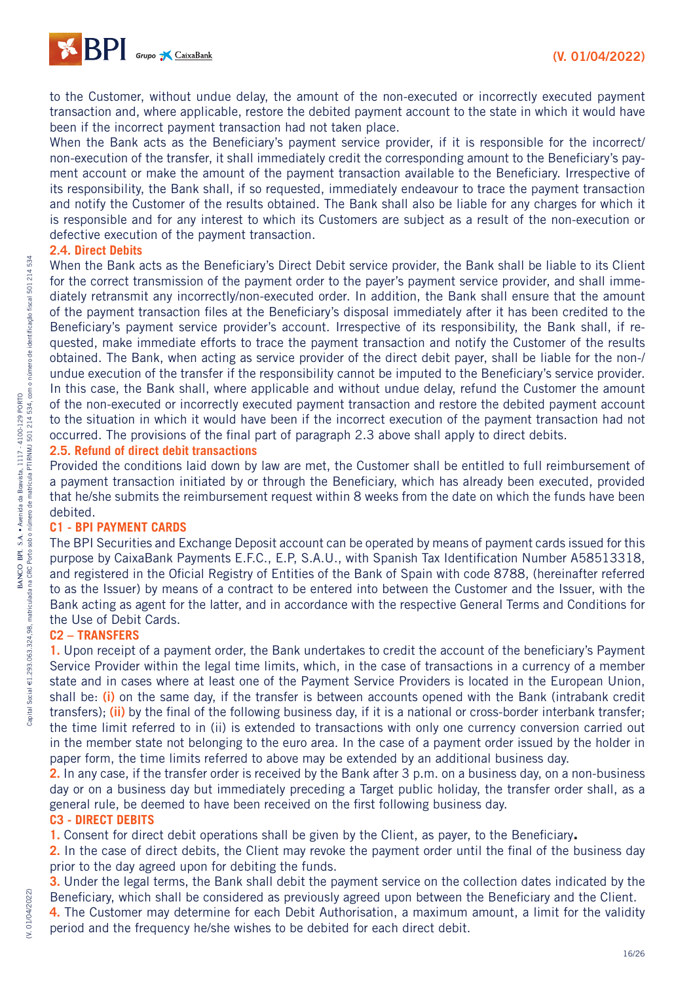

to the Customer, without undue delay, the amount of the non-executed or incorrectly executed payment transaction and, where applicable, restore the debited payment account to the state in which it would have been if the incorrect payment transaction had not taken place.

When the Bank acts as the Beneficiary's payment service provider, if it is responsible for the incorrect/ non-execution of the transfer, it shall immediately credit the corresponding amount to the Beneficiary's payment account or make the amount of the payment transaction available to the Beneficiary. Irrespective of its responsibility, the Bank shall, if so requested, immediately endeavour to trace the payment transaction and notify the Customer of the results obtained. The Bank shall also be liable for any charges for which it is responsible and for any interest to which its Customers are subject as a result of the non-execution or defective execution of the payment transaction.

#### **2.4. Direct Debits**

When the Bank acts as the Beneficiary's Direct Debit service provider, the Bank shall be liable to its Client for the correct transmission of the payment order to the payer's payment service provider, and shall immediately retransmit any incorrectly/non-executed order. In addition, the Bank shall ensure that the amount of the payment transaction files at the Beneficiary's disposal immediately after it has been credited to the Beneficiary's payment service provider's account. Irrespective of its responsibility, the Bank shall, if requested, make immediate efforts to trace the payment transaction and notify the Customer of the results obtained. The Bank, when acting as service provider of the direct debit payer, shall be liable for the non-/ undue execution of the transfer if the responsibility cannot be imputed to the Beneficiary's service provider. In this case, the Bank shall, where applicable and without undue delay, refund the Customer the amount of the non-executed or incorrectly executed payment transaction and restore the debited payment account to the situation in which it would have been if the incorrect execution of the payment transaction had not occurred. The provisions of the final part of paragraph 2.3 above shall apply to direct debits.

## **2.5. Refund of direct debit transactions**

Provided the conditions laid down by law are met, the Customer shall be entitled to full reimbursement of a payment transaction initiated by or through the Beneficiary, which has already been executed, provided that he/she submits the reimbursement request within 8 weeks from the date on which the funds have been debited.

#### **C1 - BPI PAYMENT CARDS**

The BPI Securities and Exchange Deposit account can be operated by means of payment cards issued for this purpose by CaixaBank Payments E.F.C., E.P, S.A.U., with Spanish Tax Identification Number A58513318, and registered in the Oficial Registry of Entities of the Bank of Spain with code 8788, (hereinafter referred to as the Issuer) by means of a contract to be entered into between the Customer and the Issuer, with the Bank acting as agent for the latter, and in accordance with the respective General Terms and Conditions for the Use of Debit Cards.

#### **C2 – TRANSFERS**

**1.** Upon receipt of a payment order, the Bank undertakes to credit the account of the beneficiary's Payment Service Provider within the legal time limits, which, in the case of transactions in a currency of a member state and in cases where at least one of the Payment Service Providers is located in the European Union, shall be: **(i)** on the same day, if the transfer is between accounts opened with the Bank (intrabank credit transfers); **(ii)** by the final of the following business day, if it is a national or cross-border interbank transfer; the time limit referred to in (ii) is extended to transactions with only one currency conversion carried out in the member state not belonging to the euro area. In the case of a payment order issued by the holder in paper form, the time limits referred to above may be extended by an additional business day.

**2.** In any case, if the transfer order is received by the Bank after 3 p.m. on a business day, on a non-business day or on a business day but immediately preceding a Target public holiday, the transfer order shall, as a general rule, be deemed to have been received on the first following business day.

#### **C3 - DIRECT DEBITS**

**1.** Consent for direct debit operations shall be given by the Client, as payer, to the Beneficiary**.**

**2.** In the case of direct debits, the Client may revoke the payment order until the final of the business day prior to the day agreed upon for debiting the funds.

**3.** Under the legal terms, the Bank shall debit the payment service on the collection dates indicated by the Beneficiary, which shall be considered as previously agreed upon between the Beneficiary and the Client.

**4.** The Customer may determine for each Debit Authorisation, a maximum amount, a limit for the validity period and the frequency he/she wishes to be debited for each direct debit.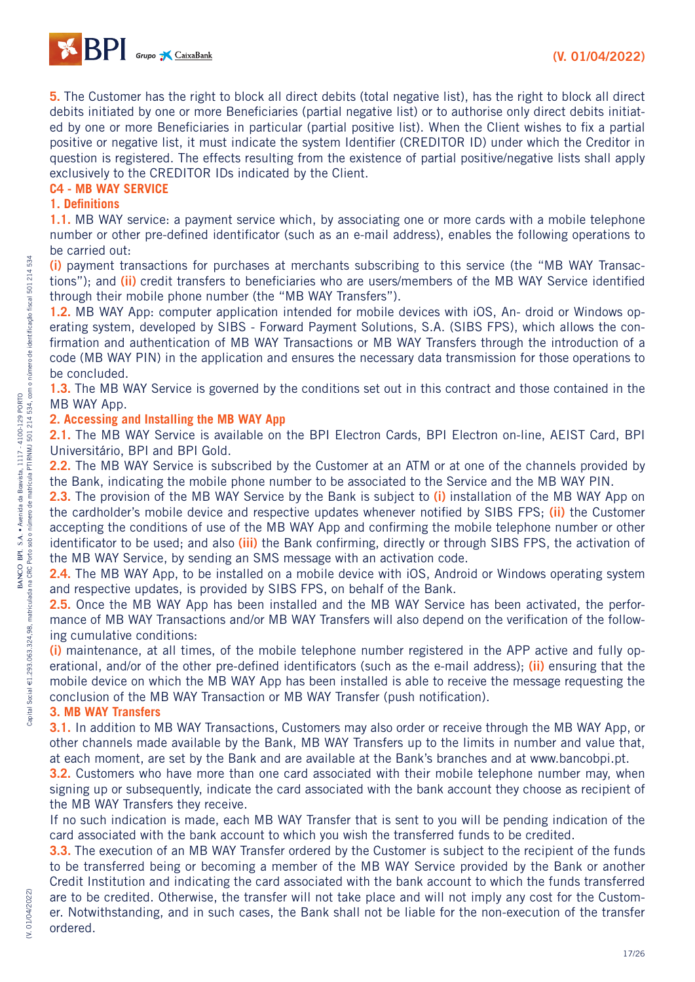

**5.** The Customer has the right to block all direct debits (total negative list), has the right to block all direct debits initiated by one or more Beneficiaries (partial negative list) or to authorise only direct debits initiated by one or more Beneficiaries in particular (partial positive list). When the Client wishes to fix a partial positive or negative list, it must indicate the system Identifier (CREDITOR ID) under which the Creditor in question is registered. The effects resulting from the existence of partial positive/negative lists shall apply exclusively to the CREDITOR IDs indicated by the Client.

## **C4 - MB WAY SERVICE**

#### **1. Definitions**

**1.1.** MB WAY service: a payment service which, by associating one or more cards with a mobile telephone number or other pre-defined identificator (such as an e-mail address), enables the following operations to be carried out:

**(i)** payment transactions for purchases at merchants subscribing to this service (the "MB WAY Transactions"); and **(ii)** credit transfers to beneficiaries who are users/members of the MB WAY Service identified through their mobile phone number (the "MB WAY Transfers").

**1.2.** MB WAY App: computer application intended for mobile devices with iOS, An- droid or Windows operating system, developed by SIBS - Forward Payment Solutions, S.A. (SIBS FPS), which allows the confirmation and authentication of MB WAY Transactions or MB WAY Transfers through the introduction of a code (MB WAY PIN) in the application and ensures the necessary data transmission for those operations to be concluded.

**1.3.** The MB WAY Service is governed by the conditions set out in this contract and those contained in the MB WAY App.

#### **2. Accessing and Installing the MB WAY App**

**2.1.** The MB WAY Service is available on the BPI Electron Cards, BPI Electron on-line, AEIST Card, BPI Universitário, BPI and BPI Gold.

**2.2.** The MB WAY Service is subscribed by the Customer at an ATM or at one of the channels provided by the Bank, indicating the mobile phone number to be associated to the Service and the MB WAY PIN.

**2.3.** The provision of the MB WAY Service by the Bank is subject to **(i)** installation of the MB WAY App on the cardholder's mobile device and respective updates whenever notified by SIBS FPS; **(ii)** the Customer accepting the conditions of use of the MB WAY App and confirming the mobile telephone number or other identificator to be used; and also **(iii)** the Bank confirming, directly or through SIBS FPS, the activation of the MB WAY Service, by sending an SMS message with an activation code.

**2.4.** The MB WAY App, to be installed on a mobile device with iOS, Android or Windows operating system and respective updates, is provided by SIBS FPS, on behalf of the Bank.

**2.5.** Once the MB WAY App has been installed and the MB WAY Service has been activated, the performance of MB WAY Transactions and/or MB WAY Transfers will also depend on the verification of the following cumulative conditions:

**(i)** maintenance, at all times, of the mobile telephone number registered in the APP active and fully operational, and/or of the other pre-defined identificators (such as the e-mail address); **(ii)** ensuring that the mobile device on which the MB WAY App has been installed is able to receive the message requesting the conclusion of the MB WAY Transaction or MB WAY Transfer (push notification).

## **3. MB WAY Transfers**

**3.1.** In addition to MB WAY Transactions, Customers may also order or receive through the MB WAY App, or other channels made available by the Bank, MB WAY Transfers up to the limits in number and value that, at each moment, are set by the Bank and are available at the Bank's branches and at www.bancobpi.pt.

**3.2.** Customers who have more than one card associated with their mobile telephone number may, when signing up or subsequently, indicate the card associated with the bank account they choose as recipient of the MB WAY Transfers they receive.

If no such indication is made, each MB WAY Transfer that is sent to you will be pending indication of the card associated with the bank account to which you wish the transferred funds to be credited.

**3.3.** The execution of an MB WAY Transfer ordered by the Customer is subject to the recipient of the funds to be transferred being or becoming a member of the MB WAY Service provided by the Bank or another Credit Institution and indicating the card associated with the bank account to which the funds transferred are to be credited. Otherwise, the transfer will not take place and will not imply any cost for the Customer. Notwithstanding, and in such cases, the Bank shall not be liable for the non-execution of the transfer ordered.

534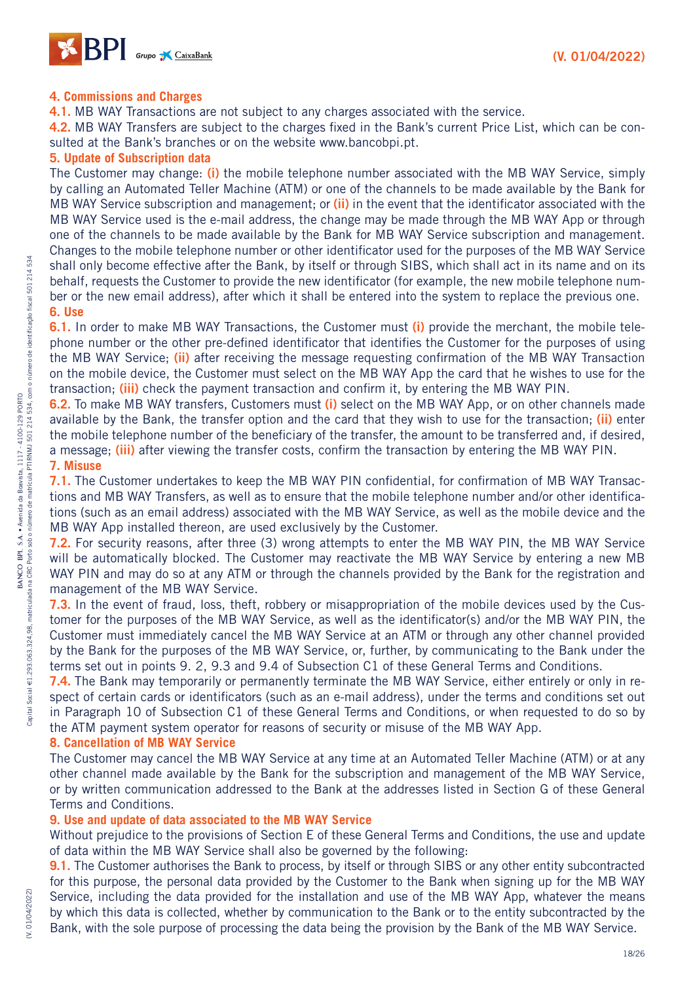

#### **4. Commissions and Charges**

**4.1.** MB WAY Transactions are not subject to any charges associated with the service.

**4.2.** MB WAY Transfers are subject to the charges fixed in the Bank's current Price List, which can be consulted at the Bank's branches or on the website www.bancobpi.pt.

#### **5. Update of Subscription data**

The Customer may change: **(i)** the mobile telephone number associated with the MB WAY Service, simply by calling an Automated Teller Machine (ATM) or one of the channels to be made available by the Bank for MB WAY Service subscription and management; or **(ii)** in the event that the identificator associated with the MB WAY Service used is the e-mail address, the change may be made through the MB WAY App or through one of the channels to be made available by the Bank for MB WAY Service subscription and management. Changes to the mobile telephone number or other identificator used for the purposes of the MB WAY Service shall only become effective after the Bank, by itself or through SIBS, which shall act in its name and on its behalf, requests the Customer to provide the new identificator (for example, the new mobile telephone number or the new email address), after which it shall be entered into the system to replace the previous one. **6. Use**

**6.1.** In order to make MB WAY Transactions, the Customer must **(i)** provide the merchant, the mobile telephone number or the other pre-defined identificator that identifies the Customer for the purposes of using the MB WAY Service; **(ii)** after receiving the message requesting confirmation of the MB WAY Transaction on the mobile device, the Customer must select on the MB WAY App the card that he wishes to use for the transaction; **(iii)** check the payment transaction and confirm it, by entering the MB WAY PIN.

**6.2.** To make MB WAY transfers, Customers must **(i)** select on the MB WAY App, or on other channels made available by the Bank, the transfer option and the card that they wish to use for the transaction; **(ii)** enter the mobile telephone number of the beneficiary of the transfer, the amount to be transferred and, if desired, a message; **(iii)** after viewing the transfer costs, confirm the transaction by entering the MB WAY PIN.

#### **7. Misuse**

**7.1.** The Customer undertakes to keep the MB WAY PIN confidential, for confirmation of MB WAY Transactions and MB WAY Transfers, as well as to ensure that the mobile telephone number and/or other identifications (such as an email address) associated with the MB WAY Service, as well as the mobile device and the MB WAY App installed thereon, are used exclusively by the Customer.

**7.2.** For security reasons, after three (3) wrong attempts to enter the MB WAY PIN, the MB WAY Service will be automatically blocked. The Customer may reactivate the MB WAY Service by entering a new MB WAY PIN and may do so at any ATM or through the channels provided by the Bank for the registration and management of the MB WAY Service.

**7.3.** In the event of fraud, loss, theft, robbery or misappropriation of the mobile devices used by the Customer for the purposes of the MB WAY Service, as well as the identificator(s) and/or the MB WAY PIN, the Customer must immediately cancel the MB WAY Service at an ATM or through any other channel provided by the Bank for the purposes of the MB WAY Service, or, further, by communicating to the Bank under the terms set out in points 9. 2, 9.3 and 9.4 of Subsection C1 of these General Terms and Conditions.

**7.4.** The Bank may temporarily or permanently terminate the MB WAY Service, either entirely or only in respect of certain cards or identificators (such as an e-mail address), under the terms and conditions set out in Paragraph 10 of Subsection C1 of these General Terms and Conditions, or when requested to do so by the ATM payment system operator for reasons of security or misuse of the MB WAY App.

#### **8. Cancellation of MB WAY Service**

The Customer may cancel the MB WAY Service at any time at an Automated Teller Machine (ATM) or at any other channel made available by the Bank for the subscription and management of the MB WAY Service, or by written communication addressed to the Bank at the addresses listed in Section G of these General Terms and Conditions.

#### **9. Use and update of data associated to the MB WAY Service**

Without prejudice to the provisions of Section E of these General Terms and Conditions, the use and update of data within the MB WAY Service shall also be governed by the following:

**9.1.** The Customer authorises the Bank to process, by itself or through SIBS or any other entity subcontracted for this purpose, the personal data provided by the Customer to the Bank when signing up for the MB WAY Service, including the data provided for the installation and use of the MB WAY App, whatever the means by which this data is collected, whether by communication to the Bank or to the entity subcontracted by the Bank, with the sole purpose of processing the data being the provision by the Bank of the MB WAY Service.

(V. 01/04/2022)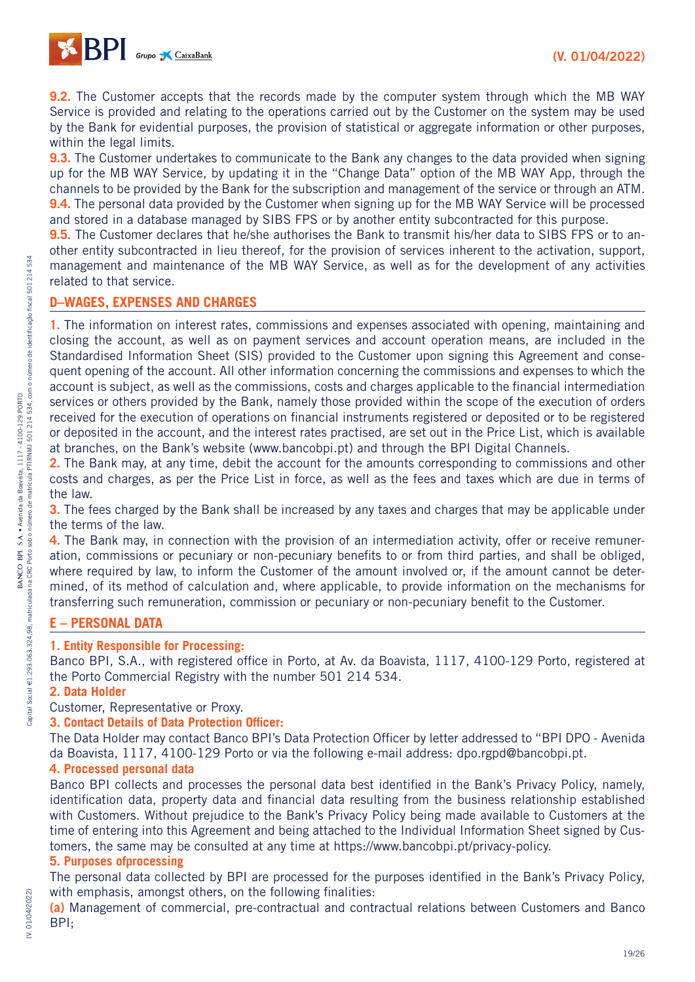

**9.2.** The Customer accepts that the records made by the computer system through which the MB WAY Service is provided and relating to the operations carried out by the Customer on the system may be used by the Bank for evidential purposes, the provision of statistical or aggregate information or other purposes, within the legal limits.

**9.3.** The Customer undertakes to communicate to the Bank any changes to the data provided when signing up for the MB WAY Service, by updating it in the "Change Data" option of the MB WAY App, through the channels to be provided by the Bank for the subscription and management of the service or through an ATM. **9.4.** The personal data provided by the Customer when signing up for the MB WAY Service will be processed and stored in a database managed by SIBS FPS or by another entity subcontracted for this purpose.

**9.5.** The Customer declares that he/she authorises the Bank to transmit his/her data to SIBS FPS or to another entity subcontracted in lieu thereof, for the provision of services inherent to the activation, support, management and maintenance of the MB WAY Service, as well as for the development of any activities related to that service.

## **D–WAGES, EXPENSES AND CHARGES**

**1.** The information on interest rates, commissions and expenses associated with opening, maintaining and closing the account, as well as on payment services and account operation means, are included in the Standardised Information Sheet (SIS) provided to the Customer upon signing this Agreement and consequent opening of the account. All other information concerning the commissions and expenses to which the account is subject, as well as the commissions, costs and charges applicable to the financial intermediation services or others provided by the Bank, namely those provided within the scope of the execution of orders received for the execution of operations on financial instruments registered or deposited or to be registered or deposited in the account, and the interest rates practised, are set out in the Price List, which is available at branches, on the Bank's website (www.bancobpi.pt) and through the BPI Digital Channels.

**2.** The Bank may, at any time, debit the account for the amounts corresponding to commissions and other costs and charges, as per the Price List in force, as well as the fees and taxes which are due in terms of the law.

**3.** The fees charged by the Bank shall be increased by any taxes and charges that may be applicable under the terms of the law.

**4.** The Bank may, in connection with the provision of an intermediation activity, offer or receive remuneration, commissions or pecuniary or non-pecuniary benefits to or from third parties, and shall be obliged, where required by law, to inform the Customer of the amount involved or, if the amount cannot be determined, of its method of calculation and, where applicable, to provide information on the mechanisms for transferring such remuneration, commission or pecuniary or non-pecuniary benefit to the Customer.

## **E – PERSONAL DATA**

#### **1. Entity Responsible for Processing:**

Banco BPI, S.A., with registered office in Porto, at Av. da Boavista, 1117, 4100-129 Porto, registered at the Porto Commercial Registry with the number 501 214 534.

#### **2. Data Holder**

Customer, Representative or Proxy.

#### **3. Contact Details of Data Protection Officer:**

The Data Holder may contact Banco BPI's Data Protection Officer by letter addressed to "BPI DPO - Avenida" da Boavista, 1117, 4100-129 Porto or via the following e-mail address: dpo.rgpd@bancobpi.pt.

#### **4. Processed personal data**

Banco BPI collects and processes the personal data best identified in the Bank's Privacy Policy, namely, identification data, property data and financial data resulting from the business relationship established with Customers. Without prejudice to the Bank's Privacy Policy being made available to Customers at the time of entering into this Agreement and being attached to the Individual Information Sheet signed by Customers, the same may be consulted at any time at https://www.bancobpi.pt/privacy-policy.

#### **5. Purposes ofprocessing**

The personal data collected by BPI are processed for the purposes identified in the Bank's Privacy Policy, with emphasis, amongst others, on the following finalities:

**(a)** Management of commercial, pre-contractual and contractual relations between Customers and Banco BPI;

(V. 01/04/2022)

(V. 01/04/2022)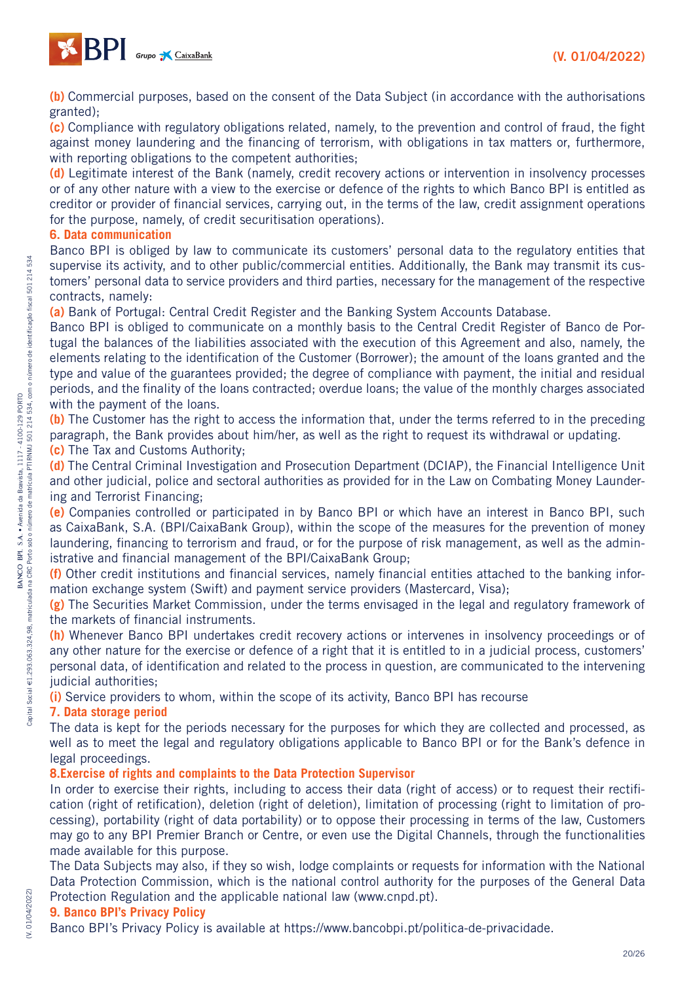

**(b)** Commercial purposes, based on the consent of the Data Subject (in accordance with the authorisations granted);

**(c)** Compliance with regulatory obligations related, namely, to the prevention and control of fraud, the fight against money laundering and the financing of terrorism, with obligations in tax matters or, furthermore, with reporting obligations to the competent authorities;

**(d)** Legitimate interest of the Bank (namely, credit recovery actions or intervention in insolvency processes or of any other nature with a view to the exercise or defence of the rights to which Banco BPI is entitled as creditor or provider of financial services, carrying out, in the terms of the law, credit assignment operations for the purpose, namely, of credit securitisation operations).

#### **6. Data communication**

Banco BPI is obliged by law to communicate its customers' personal data to the regulatory entities that supervise its activity, and to other public/commercial entities. Additionally, the Bank may transmit its customers' personal data to service providers and third parties, necessary for the management of the respective contracts, namely:

**(a)** Bank of Portugal: Central Credit Register and the Banking System Accounts Database.

Banco BPI is obliged to communicate on a monthly basis to the Central Credit Register of Banco de Portugal the balances of the liabilities associated with the execution of this Agreement and also, namely, the elements relating to the identification of the Customer (Borrower); the amount of the loans granted and the type and value of the guarantees provided; the degree of compliance with payment, the initial and residual periods, and the finality of the loans contracted; overdue loans; the value of the monthly charges associated with the payment of the loans.

**(b)** The Customer has the right to access the information that, under the terms referred to in the preceding paragraph, the Bank provides about him/her, as well as the right to request its withdrawal or updating. **(c)** The Tax and Customs Authority;

**(d)** The Central Criminal Investigation and Prosecution Department (DCIAP), the Financial Intelligence Unit and other judicial, police and sectoral authorities as provided for in the Law on Combating Money Laundering and Terrorist Financing;

**(e)** Companies controlled or participated in by Banco BPI or which have an interest in Banco BPI, such as CaixaBank, S.A. (BPI/CaixaBank Group), within the scope of the measures for the prevention of money laundering, financing to terrorism and fraud, or for the purpose of risk management, as well as the administrative and financial management of the BPI/CaixaBank Group;

**(f)** Other credit institutions and financial services, namely financial entities attached to the banking information exchange system (Swift) and payment service providers (Mastercard, Visa);

**(g)** The Securities Market Commission, under the terms envisaged in the legal and regulatory framework of the markets of financial instruments.

**(h)** Whenever Banco BPI undertakes credit recovery actions or intervenes in insolvency proceedings or of any other nature for the exercise or defence of a right that it is entitled to in a judicial process, customers' personal data, of identification and related to the process in question, are communicated to the intervening judicial authorities:

**(i)** Service providers to whom, within the scope of its activity, Banco BPI has recourse

#### **7. Data storage period**

The data is kept for the periods necessary for the purposes for which they are collected and processed, as well as to meet the legal and regulatory obligations applicable to Banco BPI or for the Bank's defence in legal proceedings.

#### **8.Exercise of rights and complaints to the Data Protection Supervisor**

In order to exercise their rights, including to access their data (right of access) or to request their rectification (right of retification), deletion (right of deletion), limitation of processing (right to limitation of processing), portability (right of data portability) or to oppose their processing in terms of the law, Customers may go to any BPI Premier Branch or Centre, or even use the Digital Channels, through the functionalities made available for this purpose.

The Data Subjects may also, if they so wish, lodge complaints or requests for information with the National Data Protection Commission, which is the national control authority for the purposes of the General Data Protection Regulation and the applicable national law (www.cnpd.pt).

#### **9. Banco BPI's Privacy Policy**

Banco BPI's Privacy Policy is available at https://www.bancobpi.pt/politica-de-privacidade.

534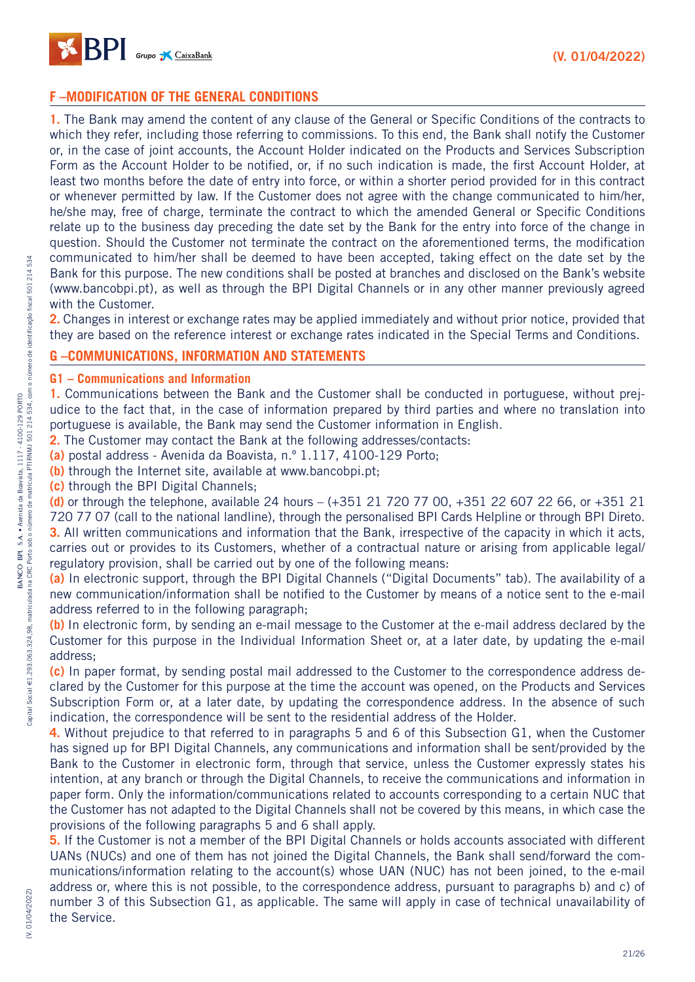

## **F –MODIFICATION OF THE GENERAL CONDITIONS**

**1.** The Bank may amend the content of any clause of the General or Specific Conditions of the contracts to which they refer, including those referring to commissions. To this end, the Bank shall notify the Customer or, in the case of joint accounts, the Account Holder indicated on the Products and Services Subscription Form as the Account Holder to be notified, or, if no such indication is made, the first Account Holder, at least two months before the date of entry into force, or within a shorter period provided for in this contract or whenever permitted by law. If the Customer does not agree with the change communicated to him/her, he/she may, free of charge, terminate the contract to which the amended General or Specific Conditions relate up to the business day preceding the date set by the Bank for the entry into force of the change in question. Should the Customer not terminate the contract on the aforementioned terms, the modification communicated to him/her shall be deemed to have been accepted, taking effect on the date set by the Bank for this purpose. The new conditions shall be posted at branches and disclosed on the Bank's website (www.bancobpi.pt), as well as through the BPI Digital Channels or in any other manner previously agreed with the Customer.

**2.** Changes in interest or exchange rates may be applied immediately and without prior notice, provided that they are based on the reference interest or exchange rates indicated in the Special Terms and Conditions.

## **G –COMMUNICATIONS, INFORMATION AND STATEMENTS**

**G1 – Communications and Information**

**1.** Communications between the Bank and the Customer shall be conducted in portuguese, without prejudice to the fact that, in the case of information prepared by third parties and where no translation into portuguese is available, the Bank may send the Customer information in English.

**2.** The Customer may contact the Bank at the following addresses/contacts:

**(a)** postal address - Avenida da Boavista, n.º 1.117, 4100-129 Porto;

**(b)** through the Internet site, available at www.bancobpi.pt;

**(c)** through the BPI Digital Channels;

**(d)** or through the telephone, available 24 hours – (+351 21 720 77 00, +351 22 607 22 66, or +351 21 720 77 07 (call to the national landline), through the personalised BPI Cards Helpline or through BPI Direto. **3.** All written communications and information that the Bank, irrespective of the capacity in which it acts, carries out or provides to its Customers, whether of a contractual nature or arising from applicable legal/ regulatory provision, shall be carried out by one of the following means:

**(a)** In electronic support, through the BPI Digital Channels ("Digital Documents" tab). The availability of a new communication/information shall be notified to the Customer by means of a notice sent to the e-mail address referred to in the following paragraph;

**(b)** In electronic form, by sending an e-mail message to the Customer at the e-mail address declared by the Customer for this purpose in the Individual Information Sheet or, at a later date, by updating the e-mail address;

**(c)** In paper format, by sending postal mail addressed to the Customer to the correspondence address declared by the Customer for this purpose at the time the account was opened, on the Products and Services Subscription Form or, at a later date, by updating the correspondence address. In the absence of such indication, the correspondence will be sent to the residential address of the Holder.

**4.** Without prejudice to that referred to in paragraphs 5 and 6 of this Subsection G1, when the Customer has signed up for BPI Digital Channels, any communications and information shall be sent/provided by the Bank to the Customer in electronic form, through that service, unless the Customer expressly states his intention, at any branch or through the Digital Channels, to receive the communications and information in paper form. Only the information/communications related to accounts corresponding to a certain NUC that the Customer has not adapted to the Digital Channels shall not be covered by this means, in which case the provisions of the following paragraphs 5 and 6 shall apply.

**5.** If the Customer is not a member of the BPI Digital Channels or holds accounts associated with different UANs (NUCs) and one of them has not joined the Digital Channels, the Bank shall send/forward the communications/information relating to the account(s) whose UAN (NUC) has not been joined, to the e-mail address or, where this is not possible, to the correspondence address, pursuant to paragraphs b) and c) of number 3 of this Subsection G1, as applicable. The same will apply in case of technical unavailability of the Service.

# (V. 01/04/2022) (V. 01/04/2022)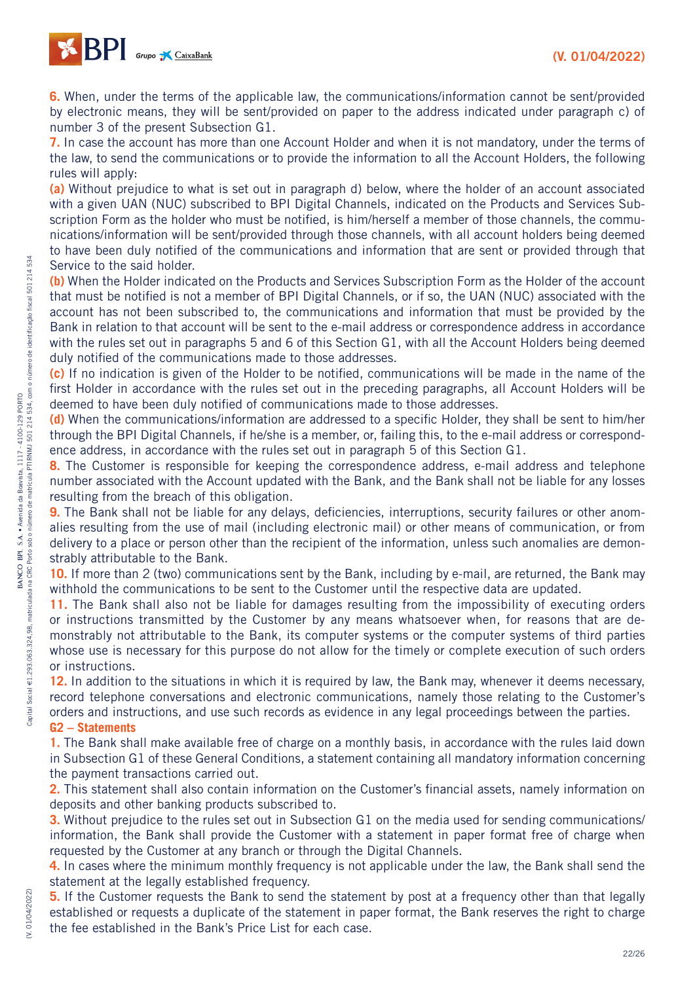

**6.** When, under the terms of the applicable law, the communications/information cannot be sent/provided by electronic means, they will be sent/provided on paper to the address indicated under paragraph c) of number 3 of the present Subsection G1.

**7.** In case the account has more than one Account Holder and when it is not mandatory, under the terms of the law, to send the communications or to provide the information to all the Account Holders, the following rules will apply:

**(a)** Without prejudice to what is set out in paragraph d) below, where the holder of an account associated with a given UAN (NUC) subscribed to BPI Digital Channels, indicated on the Products and Services Subscription Form as the holder who must be notified, is him/herself a member of those channels, the communications/information will be sent/provided through those channels, with all account holders being deemed to have been duly notified of the communications and information that are sent or provided through that Service to the said holder.

**(b)** When the Holder indicated on the Products and Services Subscription Form as the Holder of the account that must be notified is not a member of BPI Digital Channels, or if so, the UAN (NUC) associated with the account has not been subscribed to, the communications and information that must be provided by the Bank in relation to that account will be sent to the e-mail address or correspondence address in accordance with the rules set out in paragraphs 5 and 6 of this Section G1, with all the Account Holders being deemed duly notified of the communications made to those addresses.

**(c)** If no indication is given of the Holder to be notified, communications will be made in the name of the first Holder in accordance with the rules set out in the preceding paragraphs, all Account Holders will be deemed to have been duly notified of communications made to those addresses.

**(d)** When the communications/information are addressed to a specific Holder, they shall be sent to him/her through the BPI Digital Channels, if he/she is a member, or, failing this, to the e-mail address or correspondence address, in accordance with the rules set out in paragraph 5 of this Section G1.

**8.** The Customer is responsible for keeping the correspondence address, e-mail address and telephone number associated with the Account updated with the Bank, and the Bank shall not be liable for any losses resulting from the breach of this obligation.

**9.** The Bank shall not be liable for any delays, deficiencies, interruptions, security failures or other anomalies resulting from the use of mail (including electronic mail) or other means of communication, or from delivery to a place or person other than the recipient of the information, unless such anomalies are demonstrably attributable to the Bank.

**10.** If more than 2 (two) communications sent by the Bank, including by e-mail, are returned, the Bank may withhold the communications to be sent to the Customer until the respective data are updated.

**11.** The Bank shall also not be liable for damages resulting from the impossibility of executing orders or instructions transmitted by the Customer by any means whatsoever when, for reasons that are demonstrably not attributable to the Bank, its computer systems or the computer systems of third parties whose use is necessary for this purpose do not allow for the timely or complete execution of such orders or instructions.

**12.** In addition to the situations in which it is required by law, the Bank may, whenever it deems necessary, record telephone conversations and electronic communications, namely those relating to the Customer's orders and instructions, and use such records as evidence in any legal proceedings between the parties. **G2 – Statements**

**1.** The Bank shall make available free of charge on a monthly basis, in accordance with the rules laid down in Subsection G1 of these General Conditions, a statement containing all mandatory information concerning the payment transactions carried out.

**2.** This statement shall also contain information on the Customer's financial assets, namely information on deposits and other banking products subscribed to.

**3.** Without prejudice to the rules set out in Subsection G1 on the media used for sending communications/ information, the Bank shall provide the Customer with a statement in paper format free of charge when requested by the Customer at any branch or through the Digital Channels.

**4.** In cases where the minimum monthly frequency is not applicable under the law, the Bank shall send the statement at the legally established frequency.

**5.** If the Customer requests the Bank to send the statement by post at a frequency other than that legally established or requests a duplicate of the statement in paper format, the Bank reserves the right to charge the fee established in the Bank's Price List for each case.

(V. 01/04/2022)

**W. 01/04/2022**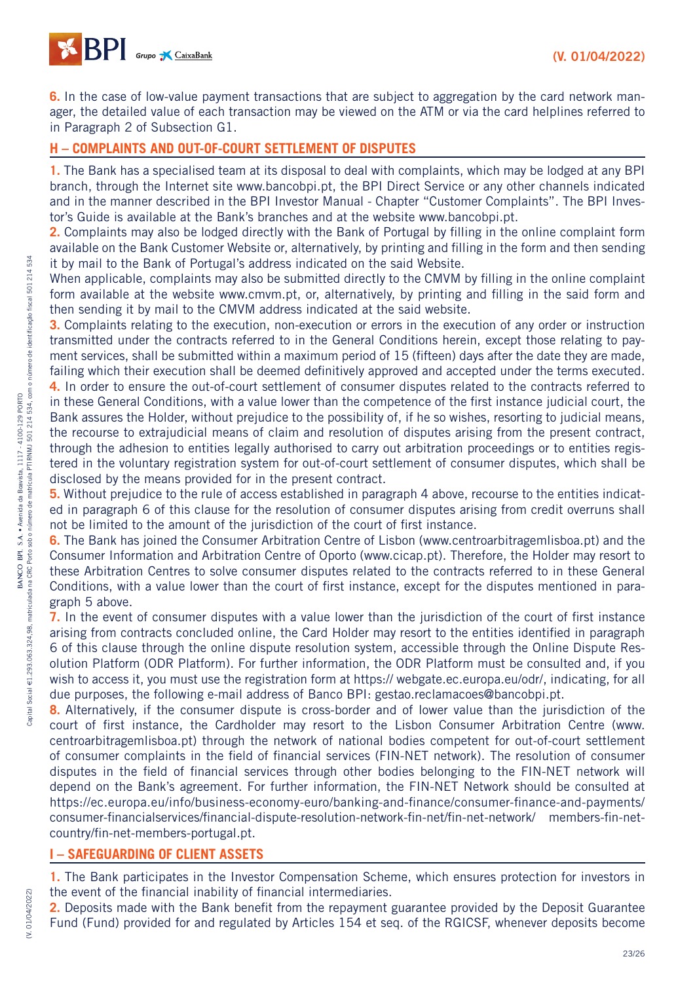

**6.** In the case of low-value payment transactions that are subject to aggregation by the card network manager, the detailed value of each transaction may be viewed on the ATM or via the card helplines referred to in Paragraph 2 of Subsection G1.

## **H – COMPLAINTS AND OUT-OF-COURT SETTLEMENT OF DISPUTES**

**1.** The Bank has a specialised team at its disposal to deal with complaints, which may be lodged at any BPI branch, through the Internet site www.bancobpi.pt, the BPI Direct Service or any other channels indicated and in the manner described in the BPI Investor Manual - Chapter "Customer Complaints". The BPI Investor's Guide is available at the Bank's branches and at the website www.bancobpi.pt.

**2.** Complaints may also be lodged directly with the Bank of Portugal by filling in the online complaint form available on the Bank Customer Website or, alternatively, by printing and filling in the form and then sending it by mail to the Bank of Portugal's address indicated on the said Website.

When applicable, complaints may also be submitted directly to the CMVM by filling in the online complaint form available at the website www.cmvm.pt, or, alternatively, by printing and filling in the said form and then sending it by mail to the CMVM address indicated at the said website.

**3.** Complaints relating to the execution, non-execution or errors in the execution of any order or instruction transmitted under the contracts referred to in the General Conditions herein, except those relating to payment services, shall be submitted within a maximum period of 15 (fifteen) days after the date they are made, failing which their execution shall be deemed definitively approved and accepted under the terms executed.

**4.** In order to ensure the out-of-court settlement of consumer disputes related to the contracts referred to in these General Conditions, with a value lower than the competence of the first instance judicial court, the Bank assures the Holder, without prejudice to the possibility of, if he so wishes, resorting to judicial means, the recourse to extrajudicial means of claim and resolution of disputes arising from the present contract, through the adhesion to entities legally authorised to carry out arbitration proceedings or to entities registered in the voluntary registration system for out-of-court settlement of consumer disputes, which shall be disclosed by the means provided for in the present contract.

**5.** Without prejudice to the rule of access established in paragraph 4 above, recourse to the entities indicated in paragraph 6 of this clause for the resolution of consumer disputes arising from credit overruns shall not be limited to the amount of the jurisdiction of the court of first instance.

**6.** The Bank has joined the Consumer Arbitration Centre of Lisbon (www.centroarbitragemlisboa.pt) and the Consumer Information and Arbitration Centre of Oporto (www.cicap.pt). Therefore, the Holder may resort to these Arbitration Centres to solve consumer disputes related to the contracts referred to in these General Conditions, with a value lower than the court of first instance, except for the disputes mentioned in paragraph 5 above.

**7.** In the event of consumer disputes with a value lower than the jurisdiction of the court of first instance arising from contracts concluded online, the Card Holder may resort to the entities identified in paragraph 6 of this clause through the online dispute resolution system, accessible through the Online Dispute Resolution Platform (ODR Platform). For further information, the ODR Platform must be consulted and, if you wish to access it, you must use the registration form at https:// webgate.ec.europa.eu/odr/, indicating, for all due purposes, the following e-mail address of Banco BPI: gestao.reclamacoes@bancobpi.pt.

**8.** Alternatively, if the consumer dispute is cross-border and of lower value than the jurisdiction of the court of first instance, the Cardholder may resort to the Lisbon Consumer Arbitration Centre (www. centroarbitragemlisboa.pt) through the network of national bodies competent for out-of-court settlement of consumer complaints in the field of financial services (FIN-NET network). The resolution of consumer disputes in the field of financial services through other bodies belonging to the FIN-NET network will depend on the Bank's agreement. For further information, the FIN-NET Network should be consulted at https://ec.europa.eu/info/business-economy-euro/banking-and-finance/consumer-finance-and-payments/ consumer-financialservices/financial-dispute-resolution-network-fin-net/fin-net-network/ members-fin-netcountry/fin-net-members-portugal.pt.

#### **I – SAFEGUARDING OF CLIENT ASSETS**

**1.** The Bank participates in the Investor Compensation Scheme, which ensures protection for investors in the event of the financial inability of financial intermediaries.

**2.** Deposits made with the Bank benefit from the repayment guarantee provided by the Deposit Guarantee Fund (Fund) provided for and regulated by Articles 154 et seq. of the RGICSF, whenever deposits become

(V. 01/04/2022)

(V. 01/04/2022)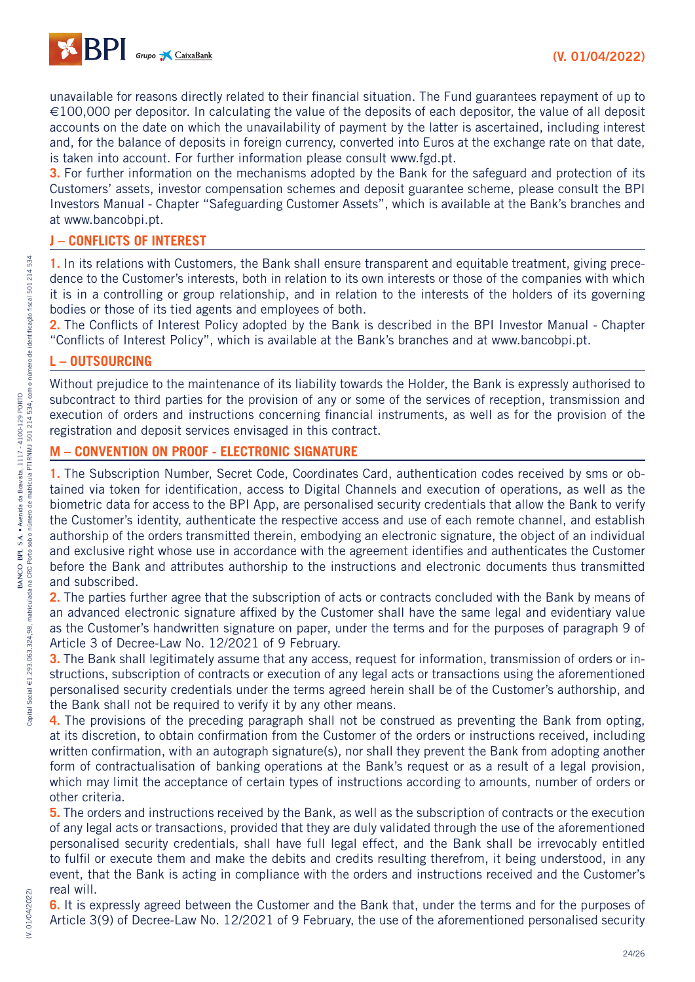

unavailable for reasons directly related to their financial situation. The Fund guarantees repayment of up to €100,000 per depositor. In calculating the value of the deposits of each depositor, the value of all deposit accounts on the date on which the unavailability of payment by the latter is ascertained, including interest and, for the balance of deposits in foreign currency, converted into Euros at the exchange rate on that date, is taken into account. For further information please consult www.fgd.pt.

**3.** For further information on the mechanisms adopted by the Bank for the safeguard and protection of its Customers' assets, investor compensation schemes and deposit guarantee scheme, please consult the BPI Investors Manual - Chapter "Safeguarding Customer Assets", which is available at the Bank's branches and at www.bancobpi.pt.

## **J – CONFLICTS OF INTEREST**

**1.** In its relations with Customers, the Bank shall ensure transparent and equitable treatment, giving precedence to the Customer's interests, both in relation to its own interests or those of the companies with which it is in a controlling or group relationship, and in relation to the interests of the holders of its governing bodies or those of its tied agents and employees of both.

2. The Conflicts of Interest Policy adopted by the Bank is described in the BPI Investor Manual - Chapter "Conflicts of Interest Policy", which is available at the Bank's branches and at www.bancobpi.pt.

## **L – OUTSOURCING**

Without prejudice to the maintenance of its liability towards the Holder, the Bank is expressly authorised to subcontract to third parties for the provision of any or some of the services of reception, transmission and execution of orders and instructions concerning financial instruments, as well as for the provision of the registration and deposit services envisaged in this contract.

## **M – CONVENTION ON PROOF - ELECTRONIC SIGNATURE**

**1.** The Subscription Number, Secret Code, Coordinates Card, authentication codes received by sms or obtained via token for identification, access to Digital Channels and execution of operations, as well as the biometric data for access to the BPI App, are personalised security credentials that allow the Bank to verify the Customer's identity, authenticate the respective access and use of each remote channel, and establish authorship of the orders transmitted therein, embodying an electronic signature, the object of an individual and exclusive right whose use in accordance with the agreement identifies and authenticates the Customer before the Bank and attributes authorship to the instructions and electronic documents thus transmitted and subscribed.

**2.** The parties further agree that the subscription of acts or contracts concluded with the Bank by means of an advanced electronic signature affixed by the Customer shall have the same legal and evidentiary value as the Customer's handwritten signature on paper, under the terms and for the purposes of paragraph 9 of Article 3 of Decree-Law No. 12/2021 of 9 February.

**3.** The Bank shall legitimately assume that any access, request for information, transmission of orders or instructions, subscription of contracts or execution of any legal acts or transactions using the aforementioned personalised security credentials under the terms agreed herein shall be of the Customer's authorship, and the Bank shall not be required to verify it by any other means.

**4.** The provisions of the preceding paragraph shall not be construed as preventing the Bank from opting, at its discretion, to obtain confirmation from the Customer of the orders or instructions received, including written confirmation, with an autograph signature(s), nor shall they prevent the Bank from adopting another form of contractualisation of banking operations at the Bank's request or as a result of a legal provision, which may limit the acceptance of certain types of instructions according to amounts, number of orders or other criteria.

**5.** The orders and instructions received by the Bank, as well as the subscription of contracts or the execution of any legal acts or transactions, provided that they are duly validated through the use of the aforementioned personalised security credentials, shall have full legal effect, and the Bank shall be irrevocably entitled to fulfil or execute them and make the debits and credits resulting therefrom, it being understood, in any event, that the Bank is acting in compliance with the orders and instructions received and the Customer's real will.

**6.** It is expressly agreed between the Customer and the Bank that, under the terms and for the purposes of Article 3(9) of Decree-Law No. 12/2021 of 9 February, the use of the aforementioned personalised security

(V. 01/04/2022)

(V. 01/04/2022)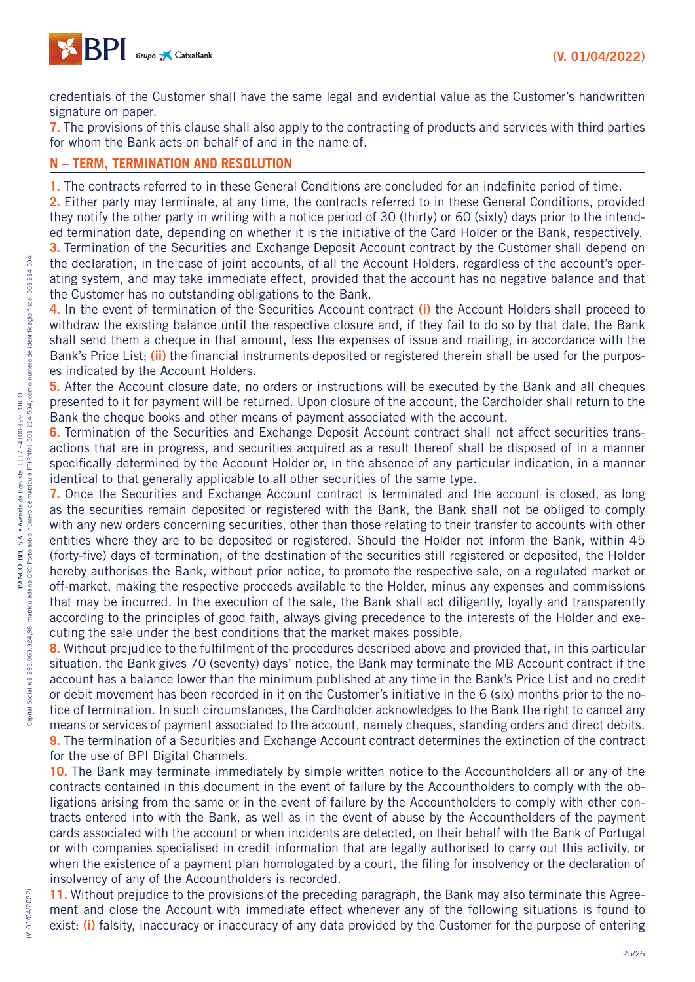

credentials of the Customer shall have the same legal and evidential value as the Customer's handwritten signature on paper.

**7.** The provisions of this clause shall also apply to the contracting of products and services with third parties for whom the Bank acts on behalf of and in the name of.

## **N – TERM, TERMINATION AND RESOLUTION**

**1.** The contracts referred to in these General Conditions are concluded for an indefinite period of time.

**2.** Either party may terminate, at any time, the contracts referred to in these General Conditions, provided they notify the other party in writing with a notice period of 30 (thirty) or 60 (sixty) days prior to the intended termination date, depending on whether it is the initiative of the Card Holder or the Bank, respectively.

**3.** Termination of the Securities and Exchange Deposit Account contract by the Customer shall depend on the declaration, in the case of joint accounts, of all the Account Holders, regardless of the account's operating system, and may take immediate effect, provided that the account has no negative balance and that the Customer has no outstanding obligations to the Bank.

**4.** In the event of termination of the Securities Account contract **(i)** the Account Holders shall proceed to withdraw the existing balance until the respective closure and, if they fail to do so by that date, the Bank shall send them a cheque in that amount, less the expenses of issue and mailing, in accordance with the Bank's Price List; **(ii)** the financial instruments deposited or registered therein shall be used for the purposes indicated by the Account Holders.

**5.** After the Account closure date, no orders or instructions will be executed by the Bank and all cheques presented to it for payment will be returned. Upon closure of the account, the Cardholder shall return to the Bank the cheque books and other means of payment associated with the account.

**6.** Termination of the Securities and Exchange Deposit Account contract shall not affect securities transactions that are in progress, and securities acquired as a result thereof shall be disposed of in a manner specifically determined by the Account Holder or, in the absence of any particular indication, in a manner identical to that generally applicable to all other securities of the same type.

**7.** Once the Securities and Exchange Account contract is terminated and the account is closed, as long as the securities remain deposited or registered with the Bank, the Bank shall not be obliged to comply with any new orders concerning securities, other than those relating to their transfer to accounts with other entities where they are to be deposited or registered. Should the Holder not inform the Bank, within 45 (forty-five) days of termination, of the destination of the securities still registered or deposited, the Holder hereby authorises the Bank, without prior notice, to promote the respective sale, on a regulated market or off-market, making the respective proceeds available to the Holder, minus any expenses and commissions that may be incurred. In the execution of the sale, the Bank shall act diligently, loyally and transparently according to the principles of good faith, always giving precedence to the interests of the Holder and executing the sale under the best conditions that the market makes possible.

**8.** Without prejudice to the fulfilment of the procedures described above and provided that, in this particular situation, the Bank gives 70 (seventy) days' notice, the Bank may terminate the MB Account contract if the account has a balance lower than the minimum published at any time in the Bank's Price List and no credit or debit movement has been recorded in it on the Customer's initiative in the 6 (six) months prior to the notice of termination. In such circumstances, the Cardholder acknowledges to the Bank the right to cancel any means or services of payment associated to the account, namely cheques, standing orders and direct debits. **9.** The termination of a Securities and Exchange Account contract determines the extinction of the contract for the use of BPI Digital Channels.

**10.** The Bank may terminate immediately by simple written notice to the Accountholders all or any of the contracts contained in this document in the event of failure by the Accountholders to comply with the obligations arising from the same or in the event of failure by the Accountholders to comply with other contracts entered into with the Bank, as well as in the event of abuse by the Accountholders of the payment cards associated with the account or when incidents are detected, on their behalf with the Bank of Portugal or with companies specialised in credit information that are legally authorised to carry out this activity, or when the existence of a payment plan homologated by a court, the filing for insolvency or the declaration of insolvency of any of the Accountholders is recorded.

**11.** Without prejudice to the provisions of the preceding paragraph, the Bank may also terminate this Agreement and close the Account with immediate effect whenever any of the following situations is found to exist: **(i)** falsity, inaccuracy or inaccuracy of any data provided by the Customer for the purpose of entering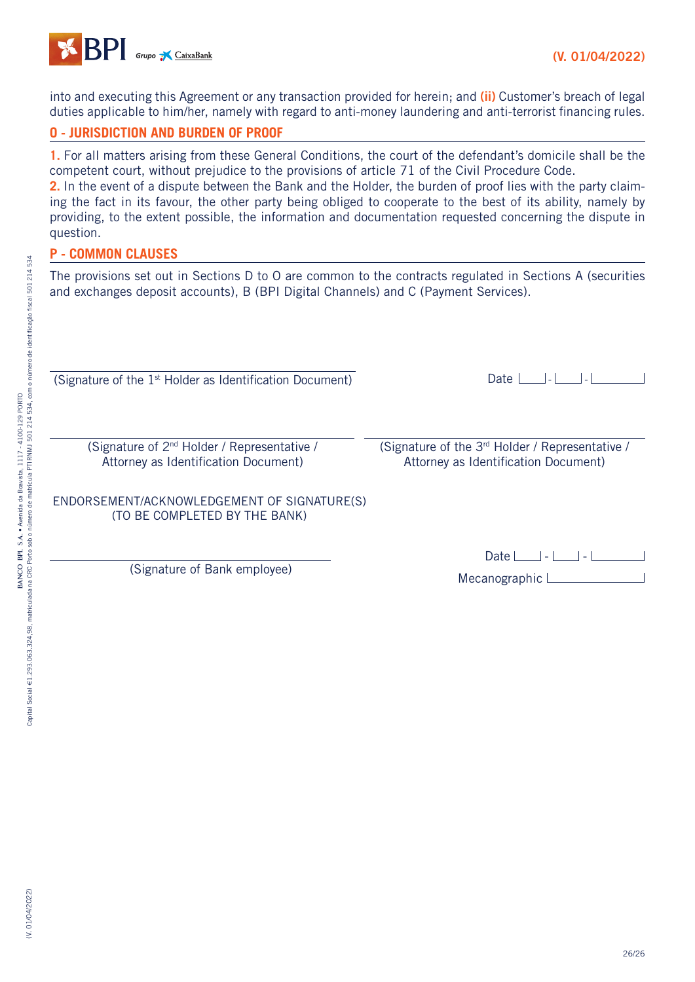

into and executing this Agreement or any transaction provided for herein; and **(ii)** Customer's breach of legal duties applicable to him/her, namely with regard to anti-money laundering and anti-terrorist financing rules.

## **O - JURISDICTION AND BURDEN OF PROOF**

**1.** For all matters arising from these General Conditions, the court of the defendant's domicile shall be the competent court, without prejudice to the provisions of article 71 of the Civil Procedure Code. **2.** In the event of a dispute between the Bank and the Holder, the burden of proof lies with the party claiming the fact in its favour, the other party being obliged to cooperate to the best of its ability, namely by providing, to the extent possible, the information and documentation requested concerning the dispute in

## **P - COMMON CLAUSES**

question.

The provisions set out in Sections D to O are common to the contracts regulated in Sections A (securities and exchanges deposit accounts), B (BPI Digital Channels) and C (Payment Services).

(Signature of the 1st Holder as Identification Document)

(Signature of 2nd Holder / Representative / Attorney as Identification Document)

Date  $\Box$ - $\Box$ - $\Box$ - $\Box$ -

(Signature of the 3rd Holder / Representative / Attorney as Identification Document)

## ENDORSEMENT/ACKNOWLEDGEMENT OF SIGNATURE(S) (TO BE COMPLETED BY THE BANK)

(Signature of Bank employee)

| Date $ - $      |  |  |
|-----------------|--|--|
| Mecanographic L |  |  |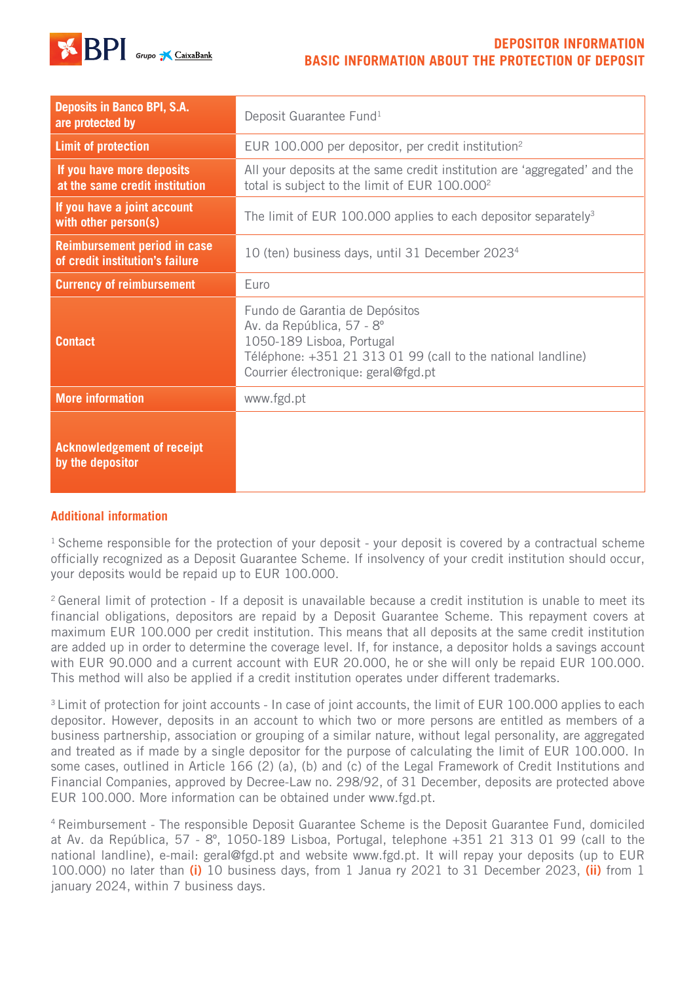

## **DEPOSITOR INFORMATION BASIC INFORMATION ABOUT THE PROTECTION OF DEPOSIT**

| <b>Deposits in Banco BPI, S.A.</b><br>are protected by                 | Deposit Guarantee Fund <sup>1</sup>                                                                                                                                                             |
|------------------------------------------------------------------------|-------------------------------------------------------------------------------------------------------------------------------------------------------------------------------------------------|
| <b>Limit of protection</b>                                             | EUR 100.000 per depositor, per credit institution <sup>2</sup>                                                                                                                                  |
| If you have more deposits<br>at the same credit institution            | All your deposits at the same credit institution are 'aggregated' and the<br>total is subject to the limit of EUR 100.000 <sup>2</sup>                                                          |
| If you have a joint account<br>with other person(s)                    | The limit of EUR 100.000 applies to each depositor separately <sup>3</sup>                                                                                                                      |
| <b>Reimbursement period in case</b><br>of credit institution's failure | 10 (ten) business days, until 31 December 2023 <sup>4</sup>                                                                                                                                     |
| <b>Currency of reimbursement</b>                                       | Euro                                                                                                                                                                                            |
| <b>Contact</b>                                                         | Fundo de Garantia de Depósitos<br>Av. da República, 57 - 8°<br>1050-189 Lisboa, Portugal<br>Téléphone: +351 21 313 01 99 (call to the national landline)<br>Courrier électronique: geral@fgd.pt |
| <b>More information</b>                                                | www.fgd.pt                                                                                                                                                                                      |
| <b>Acknowledgement of receipt</b><br>by the depositor                  |                                                                                                                                                                                                 |

## **Additional information**

<sup>1</sup> Scheme responsible for the protection of your deposit - your deposit is covered by a contractual scheme officially recognized as a Deposit Guarantee Scheme. If insolvency of your credit institution should occur, your deposits would be repaid up to EUR 100.000.

<sup>2</sup> General limit of protection - If a deposit is unavailable because a credit institution is unable to meet its financial obligations, depositors are repaid by a Deposit Guarantee Scheme. This repayment covers at maximum EUR 100.000 per credit institution. This means that all deposits at the same credit institution are added up in order to determine the coverage level. If, for instance, a depositor holds a savings account with EUR 90.000 and a current account with EUR 20.000, he or she will only be repaid EUR 100.000. This method will also be applied if a credit institution operates under different trademarks.

<sup>3</sup> Limit of protection for joint accounts - In case of joint accounts, the limit of EUR 100.000 applies to each depositor. However, deposits in an account to which two or more persons are entitled as members of a business partnership, association or grouping of a similar nature, without legal personality, are aggregated and treated as if made by a single depositor for the purpose of calculating the limit of EUR 100.000. In some cases, outlined in Article 166 (2) (a), (b) and (c) of the Legal Framework of Credit Institutions and Financial Companies, approved by Decree-Law no. 298/92, of 31 December, deposits are protected above EUR 100.000. More information can be obtained under www.fgd.pt.

4 Reimbursement - The responsible Deposit Guarantee Scheme is the Deposit Guarantee Fund, domiciled at Av. da República, 57 - 8º, 1050-189 Lisboa, Portugal, telephone +351 21 313 01 99 (call to the national landline), e-mail: geral@fgd.pt and website www.fgd.pt. It will repay your deposits (up to EUR 100.000) no later than **(i)** 10 business days, from 1 Janua ry 2021 to 31 December 2023, **(ii)** from 1 january 2024, within 7 business days.